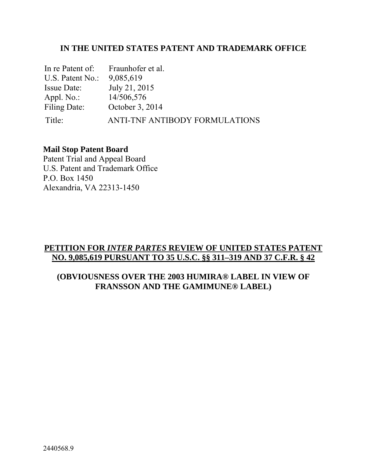## **IN THE UNITED STATES PATENT AND TRADEMARK OFFICE**

| In re Patent of:   | Fraunhofer et al.              |
|--------------------|--------------------------------|
| U.S. Patent No.:   | 9,085,619                      |
| <b>Issue Date:</b> | July 21, 2015                  |
| Appl. $No.$ :      | 14/506,576                     |
| Filing Date:       | October 3, 2014                |
| Title:             | ANTI-TNF ANTIBODY FORMULATIONS |

## **Mail Stop Patent Board**

Patent Trial and Appeal Board U.S. Patent and Trademark Office P.O. Box 1450 Alexandria, VA 22313-1450

# **PETITION FOR** *INTER PARTES* **REVIEW OF UNITED STATES PATENT NO. 9,085,619 PURSUANT TO 35 U.S.C. §§ 311–319 AND 37 C.F.R. § 42**

## **(OBVIOUSNESS OVER THE 2003 HUMIRA® LABEL IN VIEW OF FRANSSON AND THE GAMIMUNE® LABEL)**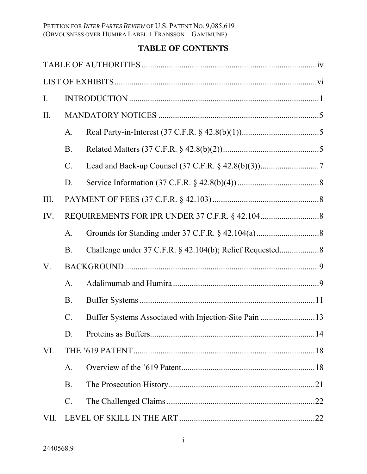# **TABLE OF CONTENTS**

| $I_{\cdot}$ |                 |                                                       |  |
|-------------|-----------------|-------------------------------------------------------|--|
| II.         |                 |                                                       |  |
|             | A.              |                                                       |  |
|             | <b>B</b> .      |                                                       |  |
|             | $\mathcal{C}$ . |                                                       |  |
|             | D.              |                                                       |  |
| III.        |                 |                                                       |  |
| IV.         |                 |                                                       |  |
|             | A <sub>1</sub>  |                                                       |  |
|             | B.              |                                                       |  |
| V.          |                 |                                                       |  |
|             | $\mathbf{A}$ .  |                                                       |  |
|             | <b>B</b> .      |                                                       |  |
|             | $\mathcal{C}$ . | Buffer Systems Associated with Injection-Site Pain 13 |  |
|             | D.              |                                                       |  |
| VI.         |                 |                                                       |  |
|             | A.              |                                                       |  |
|             | <b>B.</b>       |                                                       |  |
|             | $\mathcal{C}$ . |                                                       |  |
| VII.        |                 |                                                       |  |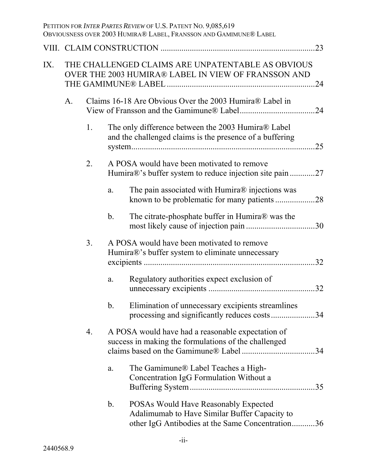|     |    |    |                | PETITION FOR INTER PARTES REVIEW OF U.S. PATENT NO. 9,085,619<br>OBVIOUSNESS OVER 2003 HUMIRA® LABEL, FRANSSON AND GAMIMUNE® LABEL |     |
|-----|----|----|----------------|------------------------------------------------------------------------------------------------------------------------------------|-----|
|     |    |    |                |                                                                                                                                    | 23  |
| IX. |    |    |                | THE CHALLENGED CLAIMS ARE UNPATENTABLE AS OBVIOUS<br>OVER THE 2003 HUMIRA® LABEL IN VIEW OF FRANSSON AND                           | .24 |
|     | A. |    |                | Claims 16-18 Are Obvious Over the 2003 Humira® Label in                                                                            |     |
|     |    | 1. |                | The only difference between the 2003 Humira® Label<br>and the challenged claims is the presence of a buffering                     | 25  |
|     |    | 2. |                | A POSA would have been motivated to remove<br>Humira®'s buffer system to reduce injection site pain 27                             |     |
|     |    |    | a.             | The pain associated with Humira® injections was                                                                                    |     |
|     |    |    | $\mathbf b$ .  | The citrate-phosphate buffer in Humira® was the                                                                                    |     |
|     |    | 3. |                | A POSA would have been motivated to remove<br>Humira®'s buffer system to eliminate unnecessary                                     | .32 |
|     |    |    | a.             | Regulatory authorities expect exclusion of                                                                                         | 32  |
|     |    |    | $\mathbf b$ .  | Elimination of unnecessary excipients streamlines<br>processing and significantly reduces costs34                                  |     |
|     |    | 4. |                | A POSA would have had a reasonable expectation of<br>success in making the formulations of the challenged                          | 34  |
|     |    |    | a.             | The Gamimune® Label Teaches a High-<br>Concentration IgG Formulation Without a                                                     | 35  |
|     |    |    | b <sub>1</sub> | POSAs Would Have Reasonably Expected<br>Adalimumab to Have Similar Buffer Capacity to                                              |     |

other IgG Antibodies at the Same Concentration ........... 36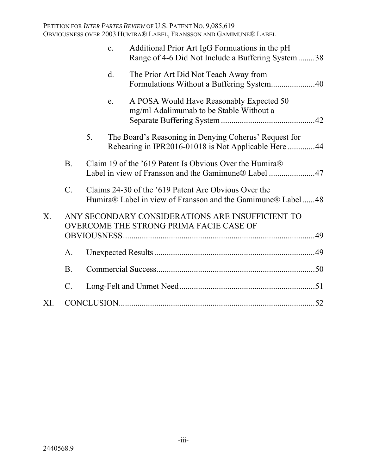|             |                 | $\mathbf{c}$ . | Additional Prior Art IgG Formuations in the pH<br>Range of 4-6 Did Not Include a Buffering System 38                |  |
|-------------|-----------------|----------------|---------------------------------------------------------------------------------------------------------------------|--|
|             |                 | $\mathbf{d}$ . | The Prior Art Did Not Teach Away from                                                                               |  |
|             |                 | e.             | A POSA Would Have Reasonably Expected 50<br>mg/ml Adalimumab to be Stable Without a                                 |  |
|             |                 | 5.             | The Board's Reasoning in Denying Coherus' Request for<br>Rehearing in IPR2016-01018 is Not Applicable Here 44       |  |
|             | B <sub>1</sub>  |                | Claim 19 of the '619 Patent Is Obvious Over the Humira®<br>Label in view of Fransson and the Gamimune® Label 47     |  |
|             | $\mathcal{C}$ . |                | Claims 24-30 of the '619 Patent Are Obvious Over the<br>Humira® Label in view of Fransson and the Gamimune® Label48 |  |
| $X_{\cdot}$ |                 |                | ANY SECONDARY CONSIDERATIONS ARE INSUFFICIENT TO<br>OVERCOME THE STRONG PRIMA FACIE CASE OF                         |  |
|             | $\mathbf{A}$ .  |                |                                                                                                                     |  |
|             | <b>B.</b>       |                |                                                                                                                     |  |
|             | $\mathcal{C}$ . |                |                                                                                                                     |  |
| XI.         |                 |                |                                                                                                                     |  |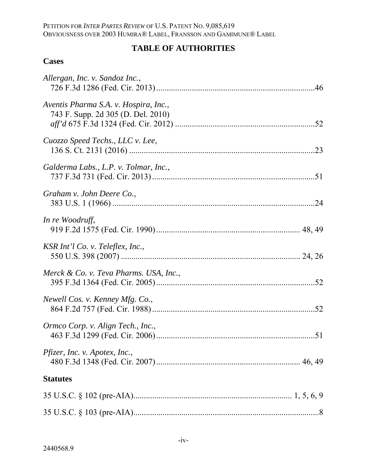# **TABLE OF AUTHORITIES**

# **Cases**

| Allergan, Inc. v. Sandoz Inc.,                                              |
|-----------------------------------------------------------------------------|
| Aventis Pharma S.A. v. Hospira, Inc.,<br>743 F. Supp. 2d 305 (D. Del. 2010) |
| Cuozzo Speed Techs., LLC v. Lee,                                            |
| Galderma Labs., L.P. v. Tolmar, Inc.,                                       |
| Graham v. John Deere Co.,                                                   |
| In re Woodruff,                                                             |
| KSR Int'l Co. v. Teleflex, Inc.,                                            |
| Merck & Co. v. Teva Pharms. USA, Inc.,                                      |
| Newell Cos. v. Kenney Mfg. Co.,                                             |
| Ormco Corp. v. Align Tech., Inc.,                                           |
| <i>Pfizer, Inc. v. Apotex, Inc.,</i>                                        |
| <b>Statutes</b>                                                             |
|                                                                             |
|                                                                             |
|                                                                             |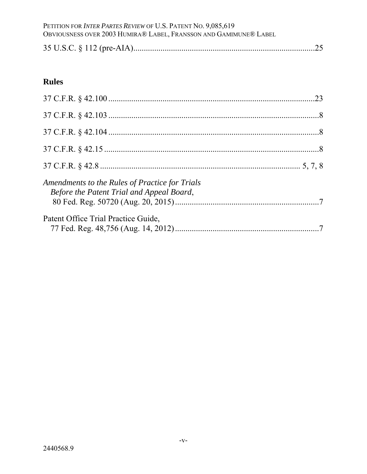# PETITION FOR *INTER PARTES REVIEW* OF U.S. PATENT NO. 9,085,619<br>Obviousness over 2003 Humira® Label, Fransson and Gamimune® Label

|--|--|--|--|--|--|

# **Rules**

| Amendments to the Rules of Practice for Trials<br>Before the Patent Trial and Appeal Board, |  |
|---------------------------------------------------------------------------------------------|--|
| Patent Office Trial Practice Guide,                                                         |  |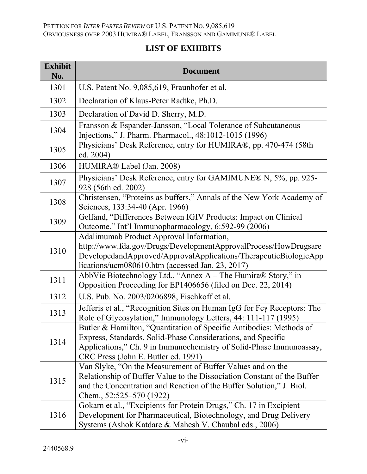# **LIST OF EXHIBITS**

| <b>Exhibit</b><br>No. | <b>Document</b>                                                                                                                                                                                                                                   |
|-----------------------|---------------------------------------------------------------------------------------------------------------------------------------------------------------------------------------------------------------------------------------------------|
| 1301                  | U.S. Patent No. 9,085,619, Fraunhofer et al.                                                                                                                                                                                                      |
| 1302                  | Declaration of Klaus-Peter Radtke, Ph.D.                                                                                                                                                                                                          |
| 1303                  | Declaration of David D. Sherry, M.D.                                                                                                                                                                                                              |
| 1304                  | Fransson & Espander-Jansson, "Local Tolerance of Subcutaneous<br>Injections," J. Pharm. Pharmacol., 48:1012-1015 (1996)                                                                                                                           |
| 1305                  | Physicians' Desk Reference, entry for HUMIRA®, pp. 470-474 (58th<br>ed. 2004)                                                                                                                                                                     |
| 1306                  | HUMIRA® Label (Jan. 2008)                                                                                                                                                                                                                         |
| 1307                  | Physicians' Desk Reference, entry for GAMIMUNE® N, 5%, pp. 925-<br>928 (56th ed. 2002)                                                                                                                                                            |
| 1308                  | Christensen, "Proteins as buffers," Annals of the New York Academy of<br>Sciences, 133:34-40 (Apr. 1966)                                                                                                                                          |
| 1309                  | Gelfand, "Differences Between IGIV Products: Impact on Clinical<br>Outcome," Int'l Immunopharmacology, 6:592-99 (2006)                                                                                                                            |
| 1310                  | Adalimumab Product Approval Information,<br>http://www.fda.gov/Drugs/DevelopmentApprovalProcess/HowDrugsare<br>DevelopedandApproved/ApprovalApplications/TherapeuticBiologicApp<br>lications/ucm080610.htm (accessed Jan. 23, 2017)               |
| 1311                  | AbbVie Biotechnology Ltd., "Annex A – The Humira® Story," in<br>Opposition Proceeding for EP1406656 (filed on Dec. 22, 2014)                                                                                                                      |
| 1312                  | U.S. Pub. No. 2003/0206898, Fischkoff et al.                                                                                                                                                                                                      |
| 1313                  | Jefferis et al., "Recognition Sites on Human IgG for Fcy Receptors: The<br>Role of Glycosylation," Immunology Letters, 44: 111-117 (1995)                                                                                                         |
| 1314                  | Butler & Hamilton, "Quantitation of Specific Antibodies: Methods of<br>Express, Standards, Solid-Phase Considerations, and Specific<br>Applications," Ch. 9 in Immunochemistry of Solid-Phase Immunoassay,<br>CRC Press (John E. Butler ed. 1991) |
| 1315                  | Van Slyke, "On the Measurement of Buffer Values and on the<br>Relationship of Buffer Value to the Dissociation Constant of the Buffer<br>and the Concentration and Reaction of the Buffer Solution," J. Biol.<br>Chem., 52:525–570 (1922)         |
| 1316                  | Gokarn et al., "Excipients for Protein Drugs," Ch. 17 in Excipient<br>Development for Pharmaceutical, Biotechnology, and Drug Delivery<br>Systems (Ashok Katdare & Mahesh V. Chaubal eds., 2006)                                                  |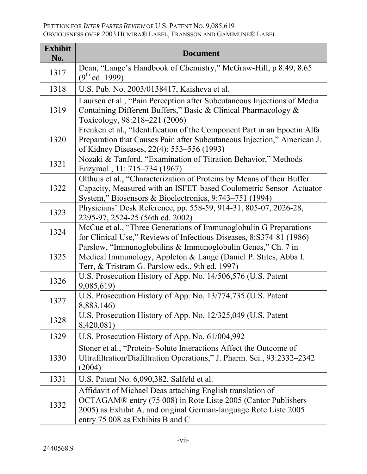| <b>Exhibit</b><br>No. | <b>Document</b>                                                                                                                                                                                                                     |
|-----------------------|-------------------------------------------------------------------------------------------------------------------------------------------------------------------------------------------------------------------------------------|
| 1317                  | Dean, "Lange's Handbook of Chemistry," McGraw-Hill, p 8.49, 8.65<br>$(9th$ ed. 1999)                                                                                                                                                |
| 1318                  | U.S. Pub. No. 2003/0138417, Kaisheva et al.                                                                                                                                                                                         |
| 1319                  | Laursen et al., "Pain Perception after Subcutaneous Injections of Media<br>Containing Different Buffers," Basic & Clinical Pharmacology &<br>Toxicology, 98:218-221 (2006)                                                          |
| 1320                  | Frenken et al., "Identification of the Component Part in an Epoetin Alfa<br>Preparation that Causes Pain after Subcutaneous Injection," American J.<br>of Kidney Diseases, 22(4): 553–556 (1993)                                    |
| 1321                  | Nozaki & Tanford, "Examination of Titration Behavior," Methods<br>Enzymol., 11: 715–734 (1967)                                                                                                                                      |
| 1322                  | Olthuis et al., "Characterization of Proteins by Means of their Buffer<br>Capacity, Measured with an ISFET-based Coulometric Sensor-Actuator<br>System," Biosensors & Bioelectronics, 9:743–751 (1994)                              |
| 1323                  | Physicians' Desk Reference, pp. 558-59, 914-31, 805-07, 2026-28,<br>2295-97, 2524-25 (56th ed. 2002)                                                                                                                                |
| 1324                  | McCue et al., "Three Generations of Immunoglobulin G Preparations"<br>for Clinical Use," Reviews of Infectious Diseases, 8:S374-81 (1986)                                                                                           |
| 1325                  | Parslow, "Immunoglobulins & Immunoglobulin Genes," Ch. 7 in<br>Medical Immunology, Appleton & Lange (Daniel P. Stites, Abba I.<br>Terr, & Tristram G. Parslow eds., 9th ed. 1997)                                                   |
| 1326                  | U.S. Prosecution History of App. No. 14/506,576 (U.S. Patent<br>9,085,619)                                                                                                                                                          |
| 1327                  | U.S. Prosecution History of App. No. 13/774,735 (U.S. Patent<br>8,883,146)                                                                                                                                                          |
| 1328                  | U.S. Prosecution History of App. No. 12/325,049 (U.S. Patent<br>8,420,081)                                                                                                                                                          |
| 1329                  | U.S. Prosecution History of App. No. 61/004,992                                                                                                                                                                                     |
| 1330                  | Stoner et al., "Protein-Solute Interactions Affect the Outcome of<br>Ultrafiltration/Diafiltration Operations," J. Pharm. Sci., 93:2332–2342<br>(2004)                                                                              |
| 1331                  | U.S. Patent No. 6,090,382, Salfeld et al.                                                                                                                                                                                           |
| 1332                  | Affidavit of Michael Deas attaching English translation of<br>OCTAGAM® entry (75 008) in Rote Liste 2005 (Cantor Publishers<br>2005) as Exhibit A, and original German-language Rote Liste 2005<br>entry 75 008 as Exhibits B and C |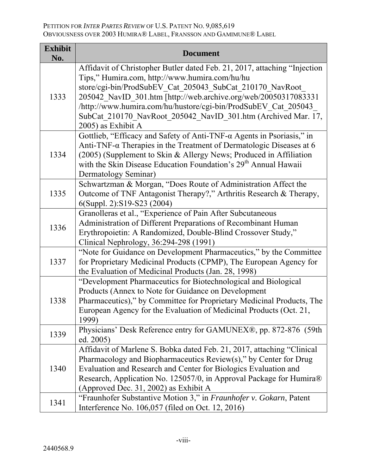| <b>Exhibit</b><br>No. | <b>Document</b>                                                                                                                                                                                                                                                                                                                                                                                                     |
|-----------------------|---------------------------------------------------------------------------------------------------------------------------------------------------------------------------------------------------------------------------------------------------------------------------------------------------------------------------------------------------------------------------------------------------------------------|
| 1333                  | Affidavit of Christopher Butler dated Feb. 21, 2017, attaching "Injection<br>Tips," Humira.com, http://www.humira.com/hu/hu<br>store/cgi-bin/ProdSubEV Cat 205043 SubCat 210170 NavRoot<br>205042 NavID 301.htm [http://web.archive.org/web/20050317083331<br>/http://www.humira.com/hu/hustore/cgi-bin/ProdSubEV Cat 205043<br>SubCat 210170 NavRoot 205042 NavID 301.htm (Archived Mar. 17,<br>2005) as Exhibit A |
| 1334                  | Gottlieb, "Efficacy and Safety of Anti-TNF- $\alpha$ Agents in Psoriasis," in<br>Anti-TNF- $\alpha$ Therapies in the Treatment of Dermatologic Diseases at 6<br>(2005) (Supplement to Skin & Allergy News; Produced in Affiliation<br>with the Skin Disease Education Foundation's 29 <sup>th</sup> Annual Hawaii<br>Dermatology Seminar)                                                                           |
| 1335                  | Schwartzman & Morgan, "Does Route of Administration Affect the<br>Outcome of TNF Antagonist Therapy?," Arthritis Research & Therapy,<br>6(Suppl. 2):S19-S23 (2004)                                                                                                                                                                                                                                                  |
| 1336                  | Granolleras et al., "Experience of Pain After Subcutaneous<br>Administration of Different Preparations of Recombinant Human<br>Erythropoietin: A Randomized, Double-Blind Crossover Study,"<br>Clinical Nephrology, 36:294-298 (1991)                                                                                                                                                                               |
| 1337                  | "Note for Guidance on Development Pharmaceutics," by the Committee<br>for Proprietary Medicinal Products (CPMP), The European Agency for<br>the Evaluation of Medicinal Products (Jan. 28, 1998)                                                                                                                                                                                                                    |
| 1338                  | "Development Pharmaceutics for Biotechnological and Biological<br>Products (Annex to Note for Guidance on Development<br>Pharmaceutics)," by Committee for Proprietary Medicinal Products, The<br>European Agency for the Evaluation of Medicinal Products (Oct. 21<br>1999)                                                                                                                                        |
| 1339                  | Physicians' Desk Reference entry for GAMUNEX®, pp. 872-876 (59th<br>ed. 2005)                                                                                                                                                                                                                                                                                                                                       |
| 1340                  | Affidavit of Marlene S. Bobka dated Feb. 21, 2017, attaching "Clinical<br>Pharmacology and Biopharmaceutics Review(s)," by Center for Drug<br>Evaluation and Research and Center for Biologics Evaluation and<br>Research, Application No. 125057/0, in Approval Package for Humira®<br>(Approved Dec. 31, 2002) as Exhibit A                                                                                       |
| 1341                  | "Fraunhofer Substantive Motion 3," in Fraunhofer v. Gokarn, Patent<br>Interference No. 106,057 (filed on Oct. 12, 2016)                                                                                                                                                                                                                                                                                             |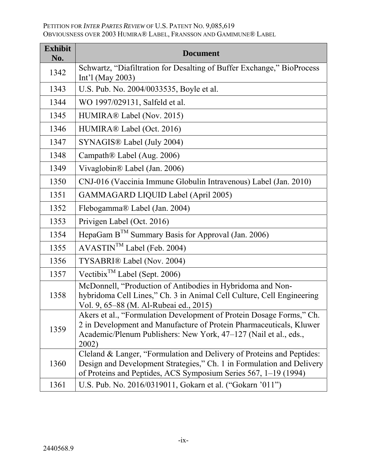| <b>Exhibit</b><br>No. | <b>Document</b>                                                                                                                                                                                                          |
|-----------------------|--------------------------------------------------------------------------------------------------------------------------------------------------------------------------------------------------------------------------|
| 1342                  | Schwartz, "Diafiltration for Desalting of Buffer Exchange," BioProcess<br>Int'l (May 2003)                                                                                                                               |
| 1343                  | U.S. Pub. No. 2004/0033535, Boyle et al.                                                                                                                                                                                 |
| 1344                  | WO 1997/029131, Salfeld et al.                                                                                                                                                                                           |
| 1345                  | HUMIRA® Label (Nov. 2015)                                                                                                                                                                                                |
| 1346                  | HUMIRA® Label (Oct. 2016)                                                                                                                                                                                                |
| 1347                  | SYNAGIS <sup>®</sup> Label (July 2004)                                                                                                                                                                                   |
| 1348                  | Campath <sup>®</sup> Label (Aug. 2006)                                                                                                                                                                                   |
| 1349                  | Vivaglobin <sup>®</sup> Label (Jan. 2006)                                                                                                                                                                                |
| 1350                  | CNJ-016 (Vaccinia Immune Globulin Intravenous) Label (Jan. 2010)                                                                                                                                                         |
| 1351                  | <b>GAMMAGARD LIQUID Label (April 2005)</b>                                                                                                                                                                               |
| 1352                  | Flebogamma® Label (Jan. 2004)                                                                                                                                                                                            |
| 1353                  | Privigen Label (Oct. 2016)                                                                                                                                                                                               |
| 1354                  | HepaGam $B^{TM}$ Summary Basis for Approval (Jan. 2006)                                                                                                                                                                  |
| 1355                  | AVASTIN <sup>™</sup> Label (Feb. 2004)                                                                                                                                                                                   |
| 1356                  | <b>TYSABRI</b> ® Label (Nov. 2004)                                                                                                                                                                                       |
| 1357                  | Vectibix <sup>TM</sup> Label (Sept. 2006)                                                                                                                                                                                |
| 1358                  | McDonnell, "Production of Antibodies in Hybridoma and Non-<br>hybridoma Cell Lines," Ch. 3 in Animal Cell Culture, Cell Engineering<br>Vol. 9, 65–88 (M. Al-Rubeai ed., 2015)                                            |
| 1359                  | Akers et al., "Formulation Development of Protein Dosage Forms," Ch.<br>2 in Development and Manufacture of Protein Pharmaceuticals, Kluwer<br>Academic/Plenum Publishers: New York, 47-127 (Nail et al., eds.,<br>2002) |
| 1360                  | Cleland & Langer, "Formulation and Delivery of Proteins and Peptides:<br>Design and Development Strategies," Ch. 1 in Formulation and Delivery<br>of Proteins and Peptides, ACS Symposium Series 567, 1–19 (1994)        |
| 1361                  | U.S. Pub. No. 2016/0319011, Gokarn et al. ("Gokarn '011")                                                                                                                                                                |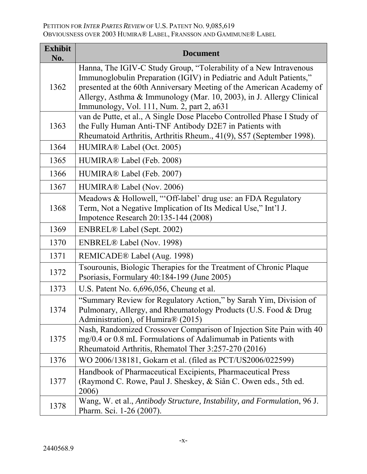| <b>Exhibit</b><br>No. | <b>Document</b>                                                                                                                                                                                                                                                                                                                        |
|-----------------------|----------------------------------------------------------------------------------------------------------------------------------------------------------------------------------------------------------------------------------------------------------------------------------------------------------------------------------------|
| 1362                  | Hanna, The IGIV-C Study Group, "Tolerability of a New Intravenous<br>Immunoglobulin Preparation (IGIV) in Pediatric and Adult Patients,"<br>presented at the 60th Anniversary Meeting of the American Academy of<br>Allergy, Asthma & Immunology (Mar. 10, 2003), in J. Allergy Clinical<br>Immunology, Vol. 111, Num. 2, part 2, a631 |
| 1363                  | van de Putte, et al., A Single Dose Placebo Controlled Phase I Study of<br>the Fully Human Anti-TNF Antibody D2E7 in Patients with<br>Rheumatoid Arthritis, Arthritis Rheum., 41(9), S57 (September 1998).                                                                                                                             |
| 1364                  | HUMIRA® Label (Oct. 2005)                                                                                                                                                                                                                                                                                                              |
| 1365                  | HUMIRA® Label (Feb. 2008)                                                                                                                                                                                                                                                                                                              |
| 1366                  | HUMIRA® Label (Feb. 2007)                                                                                                                                                                                                                                                                                                              |
| 1367                  | HUMIRA® Label (Nov. 2006)                                                                                                                                                                                                                                                                                                              |
| 1368                  | Meadows & Hollowell, "Off-label' drug use: an FDA Regulatory<br>Term, Not a Negative Implication of Its Medical Use," Int'l J.<br>Impotence Research 20:135-144 (2008)                                                                                                                                                                 |
| 1369                  | <b>ENBREL®</b> Label (Sept. 2002)                                                                                                                                                                                                                                                                                                      |
| 1370                  | ENBREL® Label (Nov. 1998)                                                                                                                                                                                                                                                                                                              |
| 1371                  | REMICADE® Label (Aug. 1998)                                                                                                                                                                                                                                                                                                            |
| 1372                  | Tsourounis, Biologic Therapies for the Treatment of Chronic Plaque<br>Psoriasis, Formulary 40:184-199 (June 2005)                                                                                                                                                                                                                      |
| 1373                  | U.S. Patent No. 6,696,056, Cheung et al.                                                                                                                                                                                                                                                                                               |
| 1374                  | "Summary Review for Regulatory Action," by Sarah Yim, Division of<br>Pulmonary, Allergy, and Rheumatology Products (U.S. Food & Drug<br>Administration), of Humira® (2015)                                                                                                                                                             |
| 1375                  | Nash, Randomized Crossover Comparison of Injection Site Pain with 40<br>mg/0.4 or 0.8 mL Formulations of Adalimumab in Patients with<br>Rheumatoid Arthritis, Rhematol Ther 3:257-270 (2016)                                                                                                                                           |
| 1376                  | WO 2006/138181, Gokarn et al. (filed as PCT/US2006/022599)                                                                                                                                                                                                                                                                             |
| 1377                  | Handbook of Pharmaceutical Excipients, Pharmaceutical Press<br>(Raymond C. Rowe, Paul J. Sheskey, & Siân C. Owen eds., 5th ed.<br>2006)                                                                                                                                                                                                |
| 1378                  | Wang, W. et al., Antibody Structure, Instability, and Formulation, 96 J.<br>Pharm. Sci. 1-26 (2007).                                                                                                                                                                                                                                   |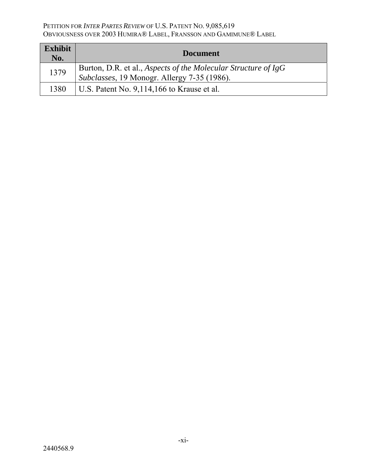| <b>Exhibit</b><br>No. | <b>Document</b>                                                                                               |
|-----------------------|---------------------------------------------------------------------------------------------------------------|
| 1379                  | Burton, D.R. et al., Aspects of the Molecular Structure of IgG<br>Subclasses, 19 Monogr. Allergy 7-35 (1986). |
| 1380                  | U.S. Patent No. 9,114,166 to Krause et al.                                                                    |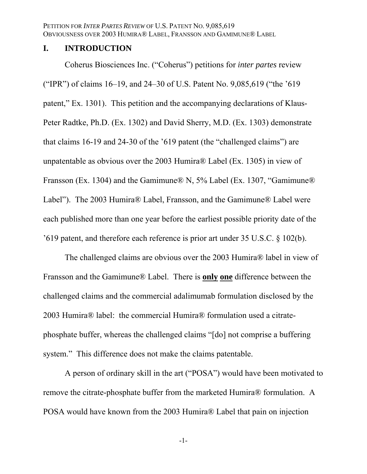#### **I. INTRODUCTION**

Coherus Biosciences Inc. ("Coherus") petitions for *inter partes* review ("IPR") of claims 16–19, and 24–30 of U.S. Patent No. 9,085,619 ("the '619 patent," Ex. 1301). This petition and the accompanying declarations of Klaus-Peter Radtke, Ph.D. (Ex. 1302) and David Sherry, M.D. (Ex. 1303) demonstrate that claims 16-19 and 24-30 of the '619 patent (the "challenged claims") are unpatentable as obvious over the 2003 Humira® Label (Ex. 1305) in view of Fransson (Ex. 1304) and the Gamimune® N, 5% Label (Ex. 1307, "Gamimune® Label"). The 2003 Humira® Label, Fransson, and the Gamimune® Label were each published more than one year before the earliest possible priority date of the '619 patent, and therefore each reference is prior art under 35 U.S.C. § 102(b).

The challenged claims are obvious over the 2003 Humira® label in view of Fransson and the Gamimune® Label. There is **only one** difference between the challenged claims and the commercial adalimumab formulation disclosed by the 2003 Humira® label: the commercial Humira® formulation used a citratephosphate buffer, whereas the challenged claims "[do] not comprise a buffering system." This difference does not make the claims patentable.

A person of ordinary skill in the art ("POSA") would have been motivated to remove the citrate-phosphate buffer from the marketed Humira® formulation. A POSA would have known from the 2003 Humira® Label that pain on injection

-1-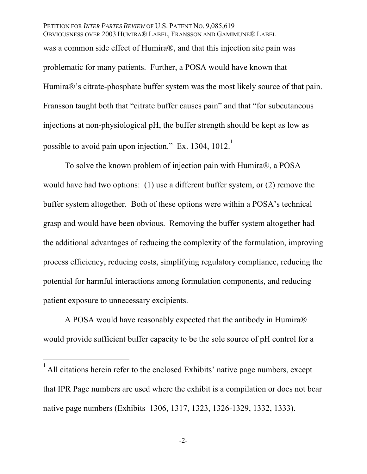PETITION FOR *INTER PARTES REVIEW* OF U.S. PATENT NO. 9,085,619 OBVIOUSNESS OVER 2003 HUMIRA® LABEL, FRANSSON AND GAMIMUNE® LABEL was a common side effect of Humira®, and that this injection site pain was problematic for many patients. Further, a POSA would have known that Humira®'s citrate-phosphate buffer system was the most likely source of that pain. Fransson taught both that "citrate buffer causes pain" and that "for subcutaneous injections at non-physiological pH, the buffer strength should be kept as low as possible to avoid pain upon injection." Ex. 1304, 1012.

To solve the known problem of injection pain with Humira®, a POSA would have had two options: (1) use a different buffer system, or (2) remove the buffer system altogether. Both of these options were within a POSA's technical grasp and would have been obvious. Removing the buffer system altogether had the additional advantages of reducing the complexity of the formulation, improving process efficiency, reducing costs, simplifying regulatory compliance, reducing the potential for harmful interactions among formulation components, and reducing patient exposure to unnecessary excipients.

A POSA would have reasonably expected that the antibody in Humira® would provide sufficient buffer capacity to be the sole source of pH control for a

 $\overline{a}$ 

<sup>1</sup> All citations herein refer to the enclosed Exhibits' native page numbers, except that IPR Page numbers are used where the exhibit is a compilation or does not bear native page numbers (Exhibits 1306, 1317, 1323, 1326-1329, 1332, 1333).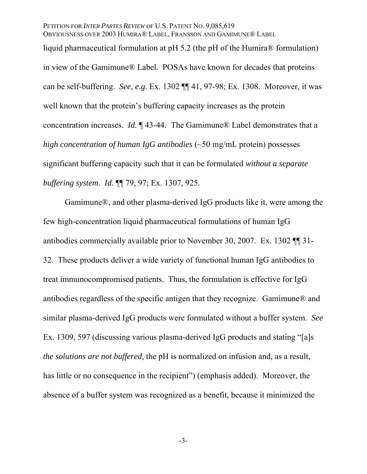liquid pharmaceutical formulation at pH 5.2 (the pH of the Humira® formulation) in view of the Gamimune® Label. POSAs have known for decades that proteins can be self-buffering. *See, e.g.* Ex. 1302 ¶¶ 41, 97-98; Ex. 1308. Moreover, it was well known that the protein's buffering capacity increases as the protein concentration increases. *Id.* ¶ 43-44*.* The Gamimune® Label demonstrates that a *high concentration of human IgG antibodies* (~50 mg/mL protein) possesses significant buffering capacity such that it can be formulated *without a separate buffering system*. *Id.* ¶¶ 79, 97; Ex. 1307, 925.

Gamimune®, and other plasma-derived IgG products like it, were among the few high-concentration liquid pharmaceutical formulations of human IgG antibodies commercially available prior to November 30, 2007. Ex. 1302 ¶¶ 31- 32. These products deliver a wide variety of functional human IgG antibodies to treat immunocompromised patients. Thus, the formulation is effective for IgG antibodies regardless of the specific antigen that they recognize. Gamimune® and similar plasma-derived IgG products were formulated without a buffer system. *See*  Ex. 1309, 597 (discussing various plasma-derived IgG products and stating "[a]s *the solutions are not buffered,* the pH is normalized on infusion and, as a result, has little or no consequence in the recipient") (emphasis added). Moreover, the absence of a buffer system was recognized as a benefit, because it minimized the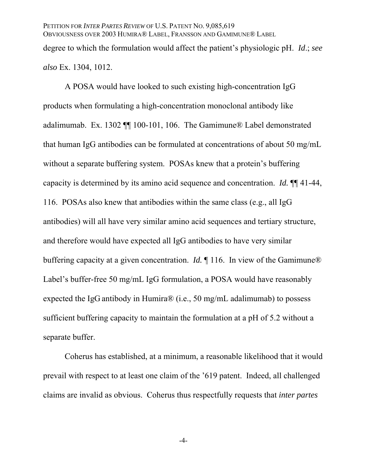A POSA would have looked to such existing high-concentration IgG products when formulating a high-concentration monoclonal antibody like adalimumab. Ex. 1302 ¶¶ 100-101, 106. The Gamimune® Label demonstrated that human IgG antibodies can be formulated at concentrations of about 50 mg/mL without a separate buffering system. POSAs knew that a protein's buffering capacity is determined by its amino acid sequence and concentration. *Id.* ¶¶ 41-44, 116. POSAs also knew that antibodies within the same class (e.g., all IgG antibodies) will all have very similar amino acid sequences and tertiary structure, and therefore would have expected all IgG antibodies to have very similar buffering capacity at a given concentration. *Id.* ¶ 116. In view of the Gamimune® Label's buffer-free 50 mg/mL IgG formulation, a POSA would have reasonably expected the IgG antibody in Humira® (i.e., 50 mg/mL adalimumab) to possess sufficient buffering capacity to maintain the formulation at a pH of 5.2 without a separate buffer.

Coherus has established, at a minimum, a reasonable likelihood that it would prevail with respect to at least one claim of the '619 patent. Indeed, all challenged claims are invalid as obvious. Coherus thus respectfully requests that *inter partes* 

-4-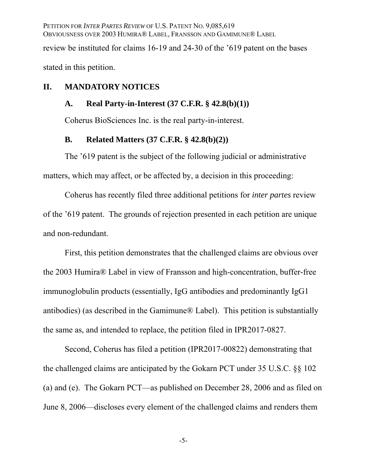PETITION FOR *INTER PARTES REVIEW* OF U.S. PATENT NO. 9,085,619 OBVIOUSNESS OVER 2003 HUMIRA® LABEL, FRANSSON AND GAMIMUNE® LABEL review be instituted for claims 16-19 and 24-30 of the '619 patent on the bases stated in this petition.

## **II. MANDATORY NOTICES**

#### **A. Real Party-in-Interest (37 C.F.R. § 42.8(b)(1))**

Coherus BioSciences Inc. is the real party-in-interest.

#### **B. Related Matters (37 C.F.R. § 42.8(b)(2))**

The '619 patent is the subject of the following judicial or administrative matters, which may affect, or be affected by, a decision in this proceeding:

Coherus has recently filed three additional petitions for *inter partes* review of the '619 patent. The grounds of rejection presented in each petition are unique and non-redundant.

First, this petition demonstrates that the challenged claims are obvious over the 2003 Humira® Label in view of Fransson and high-concentration, buffer-free immunoglobulin products (essentially, IgG antibodies and predominantly IgG1 antibodies) (as described in the Gamimune® Label). This petition is substantially the same as, and intended to replace, the petition filed in IPR2017-0827.

Second, Coherus has filed a petition (IPR2017-00822) demonstrating that the challenged claims are anticipated by the Gokarn PCT under 35 U.S.C. §§ 102 (a) and (e). The Gokarn PCT—as published on December 28, 2006 and as filed on June 8, 2006—discloses every element of the challenged claims and renders them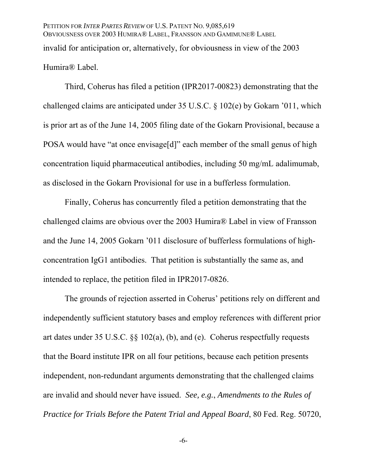PETITION FOR *INTER PARTES REVIEW* OF U.S. PATENT NO. 9,085,619 OBVIOUSNESS OVER 2003 HUMIRA® LABEL, FRANSSON AND GAMIMUNE® LABEL invalid for anticipation or, alternatively, for obviousness in view of the 2003 Humira® Label.

Third, Coherus has filed a petition (IPR2017-00823) demonstrating that the challenged claims are anticipated under 35 U.S.C. § 102(e) by Gokarn '011, which is prior art as of the June 14, 2005 filing date of the Gokarn Provisional, because a POSA would have "at once envisage[d]" each member of the small genus of high concentration liquid pharmaceutical antibodies, including 50 mg/mL adalimumab, as disclosed in the Gokarn Provisional for use in a bufferless formulation.

Finally, Coherus has concurrently filed a petition demonstrating that the challenged claims are obvious over the 2003 Humira® Label in view of Fransson and the June 14, 2005 Gokarn '011 disclosure of bufferless formulations of highconcentration IgG1 antibodies. That petition is substantially the same as, and intended to replace, the petition filed in IPR2017-0826.

The grounds of rejection asserted in Coherus' petitions rely on different and independently sufficient statutory bases and employ references with different prior art dates under 35 U.S.C. §§ 102(a), (b), and (e). Coherus respectfully requests that the Board institute IPR on all four petitions, because each petition presents independent, non-redundant arguments demonstrating that the challenged claims are invalid and should never have issued. *See, e.g.*, *Amendments to the Rules of Practice for Trials Before the Patent Trial and Appeal Board*, 80 Fed. Reg. 50720,

-6-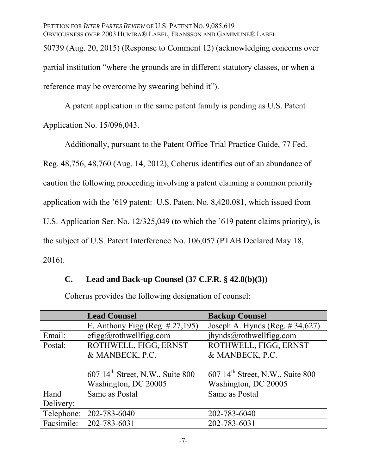50739 (Aug. 20, 2015) (Response to Comment 12) (acknowledging concerns over partial institution "where the grounds are in different statutory classes, or when a reference may be overcome by swearing behind it").

A patent application in the same patent family is pending as U.S. Patent Application No. 15/096,043.

Additionally, pursuant to the Patent Office Trial Practice Guide, 77 Fed. Reg. 48,756, 48,760 (Aug. 14, 2012), Coherus identifies out of an abundance of caution the following proceeding involving a patent claiming a common priority application with the '619 patent: U.S. Patent No. 8,420,081, which issued from U.S. Application Ser. No. 12/325,049 (to which the '619 patent claims priority), is the subject of U.S. Patent Interference No. 106,057 (PTAB Declared May 18, 2016).

# **C. Lead and Back-up Counsel (37 C.F.R. § 42.8(b)(3))**

Coherus provides the following designation of counsel:

|            | <b>Lead Counsel</b>                          | <b>Backup Counsel</b>                          |
|------------|----------------------------------------------|------------------------------------------------|
|            | E. Anthony Figg (Reg. $\# 27,195$ )          | Joseph A. Hynds (Reg. $\#$ 34,627)             |
| Email:     | efigg@rothwellfigg.com                       | jhynds@rothwellfigg.com                        |
| Postal:    | ROTHWELL, FIGG, ERNST                        | ROTHWELL, FIGG, ERNST                          |
|            | & MANBECK, P.C.                              | & MANBECK, P.C.                                |
|            |                                              |                                                |
|            | 607 14 <sup>th</sup> Street, N.W., Suite 800 | $607$ 14 <sup>th</sup> Street, N.W., Suite 800 |
|            | Washington, DC 20005                         | Washington, DC 20005                           |
| Hand       | Same as Postal                               | Same as Postal                                 |
| Delivery:  |                                              |                                                |
| Telephone: | 202-783-6040                                 | 202-783-6040                                   |
| Facsimile: | 202-783-6031                                 | 202-783-6031                                   |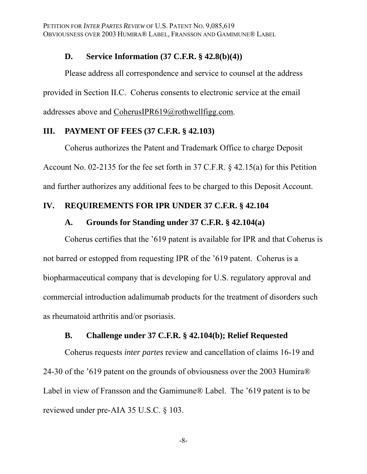## **D. Service Information (37 C.F.R. § 42.8(b)(4))**

Please address all correspondence and service to counsel at the address provided in Section II.C. Coherus consents to electronic service at the email addresses above and CoherusIPR619@rothwellfigg.com.

### **III. PAYMENT OF FEES (37 C.F.R. § 42.103)**

Coherus authorizes the Patent and Trademark Office to charge Deposit Account No. 02-2135 for the fee set forth in 37 C.F.R. § 42.15(a) for this Petition and further authorizes any additional fees to be charged to this Deposit Account.

## **IV. REQUIREMENTS FOR IPR UNDER 37 C.F.R. § 42.104**

#### **A. Grounds for Standing under 37 C.F.R. § 42.104(a)**

Coherus certifies that the '619 patent is available for IPR and that Coherus is not barred or estopped from requesting IPR of the '619 patent. Coherus is a biopharmaceutical company that is developing for U.S. regulatory approval and commercial introduction adalimumab products for the treatment of disorders such as rheumatoid arthritis and/or psoriasis.

#### **B. Challenge under 37 C.F.R. § 42.104(b); Relief Requested**

Coherus requests *inter partes* review and cancellation of claims 16-19 and 24-30 of the '619 patent on the grounds of obviousness over the 2003 Humira® Label in view of Fransson and the Gamimune® Label. The '619 patent is to be reviewed under pre-AIA 35 U.S.C. § 103.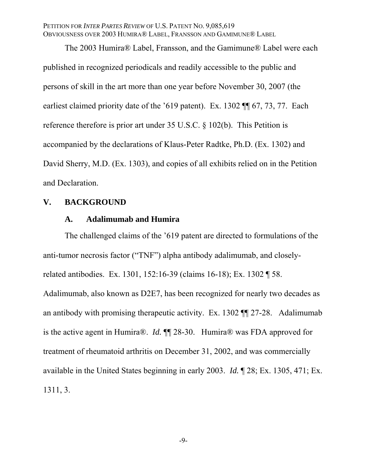The 2003 Humira® Label, Fransson, and the Gamimune® Label were each published in recognized periodicals and readily accessible to the public and persons of skill in the art more than one year before November 30, 2007 (the earliest claimed priority date of the '619 patent). Ex. 1302 ¶¶ 67, 73, 77. Each reference therefore is prior art under 35 U.S.C. § 102(b). This Petition is accompanied by the declarations of Klaus-Peter Radtke, Ph.D. (Ex. 1302) and David Sherry, M.D. (Ex. 1303), and copies of all exhibits relied on in the Petition and Declaration.

## **V. BACKGROUND**

#### **A. Adalimumab and Humira**

The challenged claims of the '619 patent are directed to formulations of the anti-tumor necrosis factor ("TNF") alpha antibody adalimumab, and closelyrelated antibodies. Ex. 1301, 152:16-39 (claims 16-18); Ex. 1302 ¶ 58. Adalimumab, also known as D2E7, has been recognized for nearly two decades as an antibody with promising therapeutic activity. Ex. 1302 ¶¶ 27-28. Adalimumab is the active agent in Humira®. *Id.* ¶¶ 28-30. Humira® was FDA approved for treatment of rheumatoid arthritis on December 31, 2002, and was commercially available in the United States beginning in early 2003. *Id.* ¶ 28; Ex. 1305, 471; Ex. 1311, 3.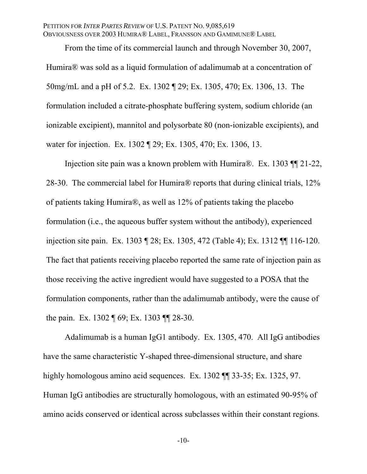From the time of its commercial launch and through November 30, 2007, Humira® was sold as a liquid formulation of adalimumab at a concentration of 50mg/mL and a pH of 5.2. Ex. 1302 ¶ 29; Ex. 1305, 470; Ex. 1306, 13. The formulation included a citrate-phosphate buffering system, sodium chloride (an ionizable excipient), mannitol and polysorbate 80 (non-ionizable excipients), and water for injection. Ex. 1302 ¶ 29; Ex. 1305, 470; Ex. 1306, 13.

Injection site pain was a known problem with Humira®. Ex. 1303 ¶¶ 21-22, 28-30. The commercial label for Humira® reports that during clinical trials, 12% of patients taking Humira®, as well as 12% of patients taking the placebo formulation (i.e., the aqueous buffer system without the antibody), experienced injection site pain. Ex. 1303 ¶ 28; Ex. 1305, 472 (Table 4); Ex. 1312 ¶¶ 116-120. The fact that patients receiving placebo reported the same rate of injection pain as those receiving the active ingredient would have suggested to a POSA that the formulation components, rather than the adalimumab antibody, were the cause of the pain. Ex. 1302 ¶ 69; Ex. 1303 ¶¶ 28-30.

Adalimumab is a human IgG1 antibody. Ex. 1305, 470. All IgG antibodies have the same characteristic Y-shaped three-dimensional structure, and share highly homologous amino acid sequences. Ex. 1302  $\P$  33-35; Ex. 1325, 97. Human IgG antibodies are structurally homologous, with an estimated 90-95% of amino acids conserved or identical across subclasses within their constant regions.

-10-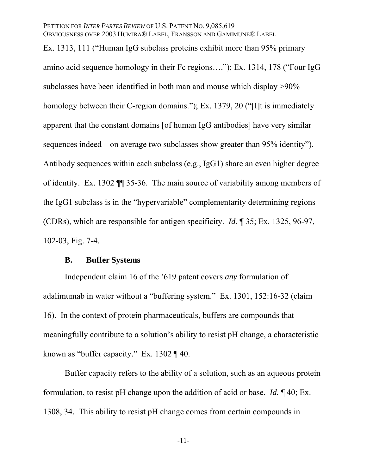Ex. 1313, 111 ("Human IgG subclass proteins exhibit more than 95% primary amino acid sequence homology in their Fc regions…."); Ex. 1314, 178 ("Four IgG subclasses have been identified in both man and mouse which display >90% homology between their C-region domains."); Ex. 1379, 20 ("[I]t is immediately apparent that the constant domains [of human IgG antibodies] have very similar sequences indeed – on average two subclasses show greater than 95% identity"). Antibody sequences within each subclass (e.g., IgG1) share an even higher degree of identity. Ex. 1302 ¶¶ 35-36. The main source of variability among members of the IgG1 subclass is in the "hypervariable" complementarity determining regions (CDRs), which are responsible for antigen specificity. *Id.* ¶ 35; Ex. 1325, 96-97, 102-03, Fig. 7-4.

#### **B. Buffer Systems**

Independent claim 16 of the '619 patent covers *any* formulation of adalimumab in water without a "buffering system." Ex. 1301, 152:16-32 (claim 16). In the context of protein pharmaceuticals, buffers are compounds that meaningfully contribute to a solution's ability to resist pH change, a characteristic known as "buffer capacity." Ex. 1302 ¶ 40.

Buffer capacity refers to the ability of a solution, such as an aqueous protein formulation, to resist pH change upon the addition of acid or base. *Id.* ¶ 40; Ex. 1308, 34. This ability to resist pH change comes from certain compounds in

-11-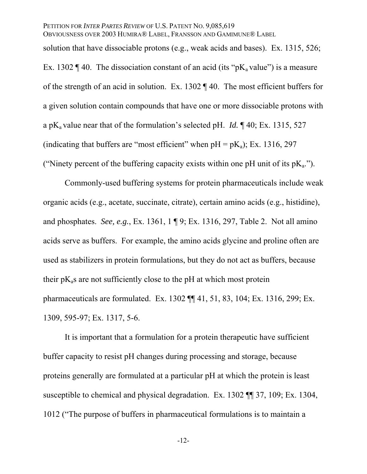solution that have dissociable protons (e.g., weak acids and bases). Ex. 1315, 526;

Ex. 1302  $\P$  40. The dissociation constant of an acid (its "pK<sub>a</sub> value") is a measure of the strength of an acid in solution. Ex. 1302 ¶ 40. The most efficient buffers for a given solution contain compounds that have one or more dissociable protons with a pK<sub>a</sub> value near that of the formulation's selected pH. *Id.*  $\P$  40; Ex. 1315, 527 (indicating that buffers are "most efficient" when  $pH = pK_a$ ); Ex. 1316, 297 ("Ninety percent of the buffering capacity exists within one pH unit of its  $pK_a$ .").

Commonly-used buffering systems for protein pharmaceuticals include weak organic acids (e.g., acetate, succinate, citrate), certain amino acids (e.g., histidine), and phosphates. *See, e.g.*, Ex. 1361, 1 ¶ 9; Ex. 1316, 297, Table 2. Not all amino acids serve as buffers. For example, the amino acids glycine and proline often are used as stabilizers in protein formulations, but they do not act as buffers, because their  $pK_a$ s are not sufficiently close to the  $pH$  at which most protein pharmaceuticals are formulated. Ex. 1302 ¶¶ 41, 51, 83, 104; Ex. 1316, 299; Ex. 1309, 595-97; Ex. 1317, 5-6.

It is important that a formulation for a protein therapeutic have sufficient buffer capacity to resist pH changes during processing and storage, because proteins generally are formulated at a particular pH at which the protein is least susceptible to chemical and physical degradation. Ex. 1302 ¶¶ 37, 109; Ex. 1304, 1012 ("The purpose of buffers in pharmaceutical formulations is to maintain a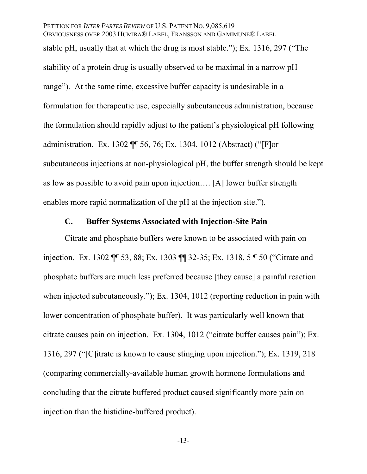## PETITION FOR *INTER PARTES REVIEW* OF U.S. PATENT NO. 9,085,619

OBVIOUSNESS OVER 2003 HUMIRA® LABEL, FRANSSON AND GAMIMUNE® LABEL stable pH, usually that at which the drug is most stable."); Ex. 1316, 297 ("The stability of a protein drug is usually observed to be maximal in a narrow pH range"). At the same time, excessive buffer capacity is undesirable in a formulation for therapeutic use, especially subcutaneous administration, because the formulation should rapidly adjust to the patient's physiological pH following administration. Ex. 1302 ¶¶ 56, 76; Ex. 1304, 1012 (Abstract) ("[F]or subcutaneous injections at non-physiological pH, the buffer strength should be kept as low as possible to avoid pain upon injection…. [A] lower buffer strength enables more rapid normalization of the pH at the injection site.").

## **C. Buffer Systems Associated with Injection-Site Pain**

Citrate and phosphate buffers were known to be associated with pain on injection. Ex. 1302 ¶¶ 53, 88; Ex. 1303 ¶¶ 32-35; Ex. 1318, 5 ¶ 50 ("Citrate and phosphate buffers are much less preferred because [they cause] a painful reaction when injected subcutaneously."); Ex. 1304, 1012 (reporting reduction in pain with lower concentration of phosphate buffer). It was particularly well known that citrate causes pain on injection. Ex. 1304, 1012 ("citrate buffer causes pain"); Ex. 1316, 297 ("[C]itrate is known to cause stinging upon injection."); Ex. 1319, 218 (comparing commercially-available human growth hormone formulations and concluding that the citrate buffered product caused significantly more pain on injection than the histidine-buffered product).

-13-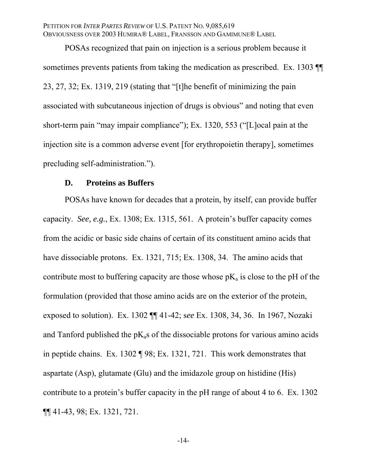POSAs recognized that pain on injection is a serious problem because it sometimes prevents patients from taking the medication as prescribed. Ex. 1303 23, 27, 32; Ex. 1319, 219 (stating that "[t]he benefit of minimizing the pain associated with subcutaneous injection of drugs is obvious" and noting that even short-term pain "may impair compliance"); Ex. 1320, 553 ("[L]ocal pain at the injection site is a common adverse event [for erythropoietin therapy], sometimes precluding self-administration.").

#### **D. Proteins as Buffers**

POSAs have known for decades that a protein, by itself, can provide buffer capacity. *See, e.g.*, Ex. 1308; Ex. 1315, 561. A protein's buffer capacity comes from the acidic or basic side chains of certain of its constituent amino acids that have dissociable protons. Ex. 1321, 715; Ex. 1308, 34. The amino acids that contribute most to buffering capacity are those whose  $pK_a$  is close to the pH of the formulation (provided that those amino acids are on the exterior of the protein, exposed to solution). Ex. 1302 ¶¶ 41-42; s*ee* Ex. 1308, 34, 36. In 1967, Nozaki and Tanford published the  $pK<sub>a</sub>$ s of the dissociable protons for various amino acids in peptide chains. Ex. 1302 ¶ 98; Ex. 1321, 721. This work demonstrates that aspartate (Asp), glutamate (Glu) and the imidazole group on histidine (His) contribute to a protein's buffer capacity in the pH range of about 4 to 6. Ex. 1302 ¶¶ 41-43, 98; Ex. 1321, 721.

-14-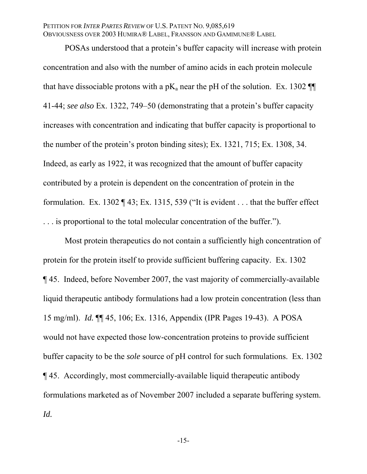POSAs understood that a protein's buffer capacity will increase with protein concentration and also with the number of amino acids in each protein molecule that have dissociable protons with a  $pK_a$  near the pH of the solution. Ex. 1302  $\P\P$ 41-44; *see also* Ex. 1322, 749–50 (demonstrating that a protein's buffer capacity increases with concentration and indicating that buffer capacity is proportional to the number of the protein's proton binding sites); Ex. 1321, 715; Ex. 1308, 34. Indeed, as early as 1922, it was recognized that the amount of buffer capacity contributed by a protein is dependent on the concentration of protein in the formulation. Ex. 1302  $\P$  43; Ex. 1315, 539 ("It is evident . . . that the buffer effect . . . is proportional to the total molecular concentration of the buffer.").

Most protein therapeutics do not contain a sufficiently high concentration of protein for the protein itself to provide sufficient buffering capacity. Ex. 1302 ¶ 45. Indeed, before November 2007, the vast majority of commercially-available liquid therapeutic antibody formulations had a low protein concentration (less than 15 mg/ml). *Id.* ¶¶ 45, 106; Ex. 1316, Appendix (IPR Pages 19-43). A POSA would not have expected those low-concentration proteins to provide sufficient buffer capacity to be the *sole* source of pH control for such formulations. Ex. 1302 ¶ 45. Accordingly, most commercially-available liquid therapeutic antibody formulations marketed as of November 2007 included a separate buffering system. *Id.*

-15-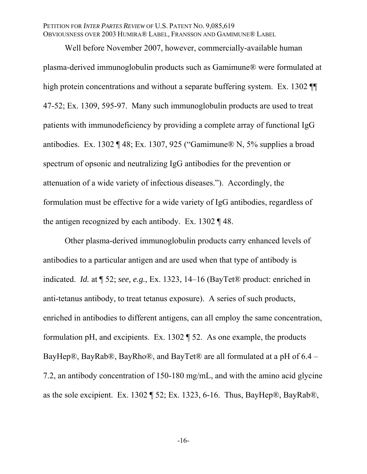Well before November 2007, however, commercially-available human plasma-derived immunoglobulin products such as Gamimune® were formulated at high protein concentrations and without a separate buffering system. Ex. 1302  $\P$ 47-52; Ex. 1309, 595-97. Many such immunoglobulin products are used to treat patients with immunodeficiency by providing a complete array of functional IgG antibodies. Ex. 1302 ¶ 48; Ex. 1307, 925 ("Gamimune® N, 5% supplies a broad spectrum of opsonic and neutralizing IgG antibodies for the prevention or attenuation of a wide variety of infectious diseases."). Accordingly, the formulation must be effective for a wide variety of IgG antibodies, regardless of the antigen recognized by each antibody. Ex. 1302 ¶ 48.

Other plasma-derived immunoglobulin products carry enhanced levels of antibodies to a particular antigen and are used when that type of antibody is indicated. *Id.* at ¶ 52; *see, e.g.*, Ex. 1323, 14–16 (BayTet® product: enriched in anti-tetanus antibody, to treat tetanus exposure). A series of such products, enriched in antibodies to different antigens, can all employ the same concentration, formulation pH, and excipients. Ex. 1302 ¶ 52. As one example, the products BayHep®, BayRab®, BayRho®, and BayTet® are all formulated at a pH of 6.4 – 7.2, an antibody concentration of 150-180 mg/mL, and with the amino acid glycine as the sole excipient. Ex. 1302 ¶ 52; Ex. 1323, 6-16. Thus, BayHep®, BayRab®,

-16-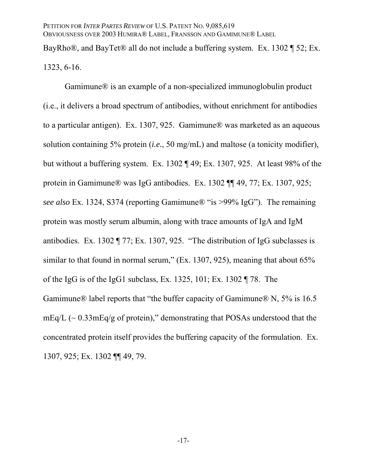BayRho®, and BayTet® all do not include a buffering system. Ex. 1302 ¶ 52; Ex. 1323, 6-16.

Gamimune® is an example of a non-specialized immunoglobulin product (i.e., it delivers a broad spectrum of antibodies, without enrichment for antibodies to a particular antigen). Ex. 1307, 925. Gamimune® was marketed as an aqueous solution containing 5% protein (*i.e.*, 50 mg/mL) and maltose (a tonicity modifier), but without a buffering system. Ex. 1302 ¶ 49; Ex. 1307, 925. At least 98% of the protein in Gamimune® was IgG antibodies. Ex. 1302 ¶¶ 49, 77; Ex. 1307, 925; *see also* Ex. 1324, S374 (reporting Gamimune® "is >99% IgG"). The remaining protein was mostly serum albumin, along with trace amounts of IgA and IgM antibodies. Ex. 1302 ¶ 77; Ex. 1307, 925. "The distribution of IgG subclasses is similar to that found in normal serum,"  $(Ex. 1307, 925)$ , meaning that about 65% of the IgG is of the IgG1 subclass, Ex. 1325, 101; Ex. 1302 ¶ 78. The Gamimune® label reports that "the buffer capacity of Gamimune® N, 5% is 16.5  $mEq/L$  ( $\sim 0.33$  $mEq/g$  of protein)," demonstrating that POSAs understood that the concentrated protein itself provides the buffering capacity of the formulation. Ex. 1307, 925; Ex. 1302 ¶¶ 49, 79.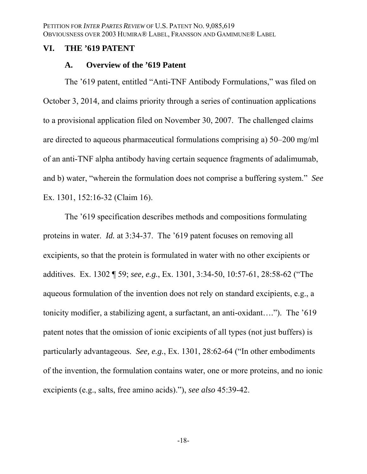### **VI. THE '619 PATENT**

### **A. Overview of the '619 Patent**

The '619 patent, entitled "Anti-TNF Antibody Formulations," was filed on October 3, 2014, and claims priority through a series of continuation applications to a provisional application filed on November 30, 2007. The challenged claims are directed to aqueous pharmaceutical formulations comprising a) 50–200 mg/ml of an anti-TNF alpha antibody having certain sequence fragments of adalimumab, and b) water, "wherein the formulation does not comprise a buffering system." *See* Ex. 1301, 152:16-32 (Claim 16).

The '619 specification describes methods and compositions formulating proteins in water. *Id.* at 3:34-37. The '619 patent focuses on removing all excipients, so that the protein is formulated in water with no other excipients or additives. Ex. 1302 ¶ 59; *see, e.g.*, Ex. 1301, 3:34-50, 10:57-61, 28:58-62 ("The aqueous formulation of the invention does not rely on standard excipients, e.g., a tonicity modifier, a stabilizing agent, a surfactant, an anti-oxidant…."). The '619 patent notes that the omission of ionic excipients of all types (not just buffers) is particularly advantageous. *See, e.g.*, Ex. 1301, 28:62-64 ("In other embodiments of the invention, the formulation contains water, one or more proteins, and no ionic excipients (e.g., salts, free amino acids)."), *see also* 45:39-42.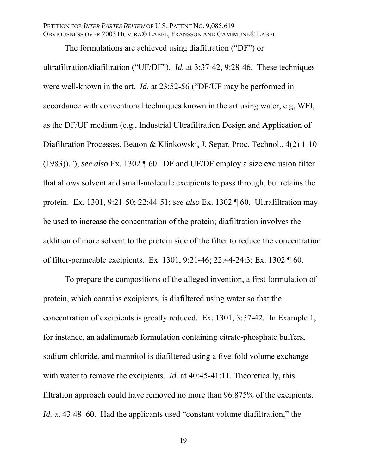The formulations are achieved using diafiltration ("DF") or

ultrafiltration/diafiltration ("UF/DF"). *Id.* at 3:37-42, 9:28-46. These techniques were well-known in the art. *Id.* at 23:52-56 ("DF/UF may be performed in accordance with conventional techniques known in the art using water, e.g, WFI, as the DF/UF medium (e.g., Industrial Ultrafiltration Design and Application of Diafiltration Processes, Beaton & Klinkowski, J. Separ. Proc. Technol., 4(2) 1-10 (1983))."); *see also* Ex. 1302 ¶ 60. DF and UF/DF employ a size exclusion filter that allows solvent and small-molecule excipients to pass through, but retains the protein. Ex. 1301, 9:21-50; 22:44-51; *see also* Ex. 1302 ¶ 60. Ultrafiltration may be used to increase the concentration of the protein; diafiltration involves the addition of more solvent to the protein side of the filter to reduce the concentration of filter-permeable excipients. Ex. 1301, 9:21-46; 22:44-24:3; Ex. 1302 ¶ 60.

To prepare the compositions of the alleged invention, a first formulation of protein, which contains excipients, is diafiltered using water so that the concentration of excipients is greatly reduced. Ex. 1301, 3:37-42. In Example 1, for instance, an adalimumab formulation containing citrate-phosphate buffers, sodium chloride, and mannitol is diafiltered using a five-fold volume exchange with water to remove the excipients. *Id.* at 40:45-41:11. Theoretically, this filtration approach could have removed no more than 96.875% of the excipients. *Id.* at 43:48–60. Had the applicants used "constant volume diafiltration," the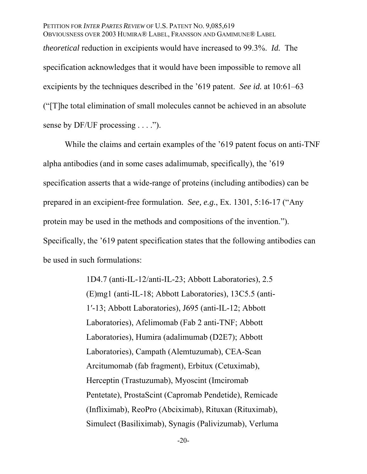PETITION FOR *INTER PARTES REVIEW* OF U.S. PATENT NO. 9,085,619 OBVIOUSNESS OVER 2003 HUMIRA® LABEL, FRANSSON AND GAMIMUNE® LABEL *theoretical* reduction in excipients would have increased to 99.3%. *Id.* The specification acknowledges that it would have been impossible to remove all excipients by the techniques described in the '619 patent. *See id.* at 10:61–63 ("[T]he total elimination of small molecules cannot be achieved in an absolute sense by DF/UF processing  $\dots$ .").

While the claims and certain examples of the '619 patent focus on anti-TNF alpha antibodies (and in some cases adalimumab, specifically), the '619 specification asserts that a wide-range of proteins (including antibodies) can be prepared in an excipient-free formulation. *See, e.g.*, Ex. 1301, 5:16-17 ("Any protein may be used in the methods and compositions of the invention."). Specifically, the '619 patent specification states that the following antibodies can be used in such formulations:

> 1D4.7 (anti-IL-12/anti-IL-23; Abbott Laboratories), 2.5 (E)mg1 (anti-IL-18; Abbott Laboratories), 13C5.5 (anti-1′-13; Abbott Laboratories), J695 (anti-IL-12; Abbott Laboratories), Afelimomab (Fab 2 anti-TNF; Abbott Laboratories), Humira (adalimumab (D2E7); Abbott Laboratories), Campath (Alemtuzumab), CEA-Scan Arcitumomab (fab fragment), Erbitux (Cetuximab), Herceptin (Trastuzumab), Myoscint (Imciromab Pentetate), ProstaScint (Capromab Pendetide), Remicade (Infliximab), ReoPro (Abciximab), Rituxan (Rituximab), Simulect (Basiliximab), Synagis (Palivizumab), Verluma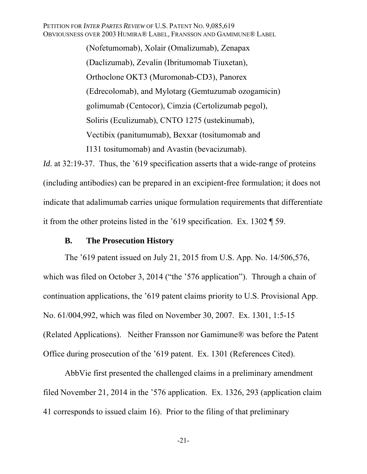(Nofetumomab), Xolair (Omalizumab), Zenapax (Daclizumab), Zevalin (Ibritumomab Tiuxetan), Orthoclone OKT3 (Muromonab-CD3), Panorex (Edrecolomab), and Mylotarg (Gemtuzumab ozogamicin) golimumab (Centocor), Cimzia (Certolizumab pegol), Soliris (Eculizumab), CNTO 1275 (ustekinumab), Vectibix (panitumumab), Bexxar (tositumomab and I131 tositumomab) and Avastin (bevacizumab).

*Id.* at 32:19-37. Thus, the '619 specification asserts that a wide-range of proteins (including antibodies) can be prepared in an excipient-free formulation; it does not indicate that adalimumab carries unique formulation requirements that differentiate it from the other proteins listed in the '619 specification. Ex. 1302 ¶ 59.

#### **B. The Prosecution History**

The '619 patent issued on July 21, 2015 from U.S. App. No. 14/506,576, which was filed on October 3, 2014 ("the '576 application"). Through a chain of continuation applications, the '619 patent claims priority to U.S. Provisional App. No. 61/004,992, which was filed on November 30, 2007. Ex. 1301, 1:5-15 (Related Applications). Neither Fransson nor Gamimune® was before the Patent Office during prosecution of the '619 patent. Ex. 1301 (References Cited).

AbbVie first presented the challenged claims in a preliminary amendment filed November 21, 2014 in the '576 application. Ex. 1326, 293 (application claim 41 corresponds to issued claim 16). Prior to the filing of that preliminary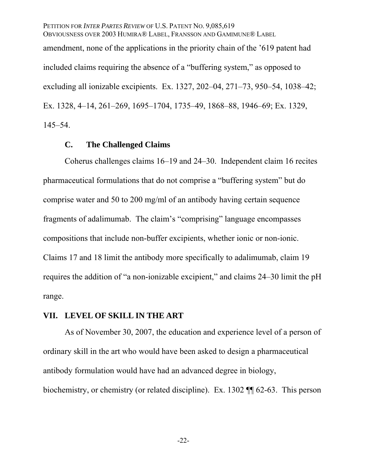PETITION FOR *INTER PARTES REVIEW* OF U.S. PATENT NO. 9,085,619 OBVIOUSNESS OVER 2003 HUMIRA® LABEL, FRANSSON AND GAMIMUNE® LABEL amendment, none of the applications in the priority chain of the '619 patent had included claims requiring the absence of a "buffering system," as opposed to excluding all ionizable excipients. Ex. 1327, 202–04, 271–73, 950–54, 1038–42; Ex. 1328, 4–14, 261–269, 1695–1704, 1735–49, 1868–88, 1946–69; Ex. 1329, 145–54.

#### **C. The Challenged Claims**

Coherus challenges claims 16–19 and 24–30. Independent claim 16 recites pharmaceutical formulations that do not comprise a "buffering system" but do comprise water and 50 to 200 mg/ml of an antibody having certain sequence fragments of adalimumab. The claim's "comprising" language encompasses compositions that include non-buffer excipients, whether ionic or non-ionic. Claims 17 and 18 limit the antibody more specifically to adalimumab, claim 19 requires the addition of "a non-ionizable excipient," and claims 24–30 limit the pH range.

#### **VII. LEVEL OF SKILL IN THE ART**

As of November 30, 2007, the education and experience level of a person of ordinary skill in the art who would have been asked to design a pharmaceutical antibody formulation would have had an advanced degree in biology, biochemistry, or chemistry (or related discipline). Ex. 1302 ¶¶ 62-63. This person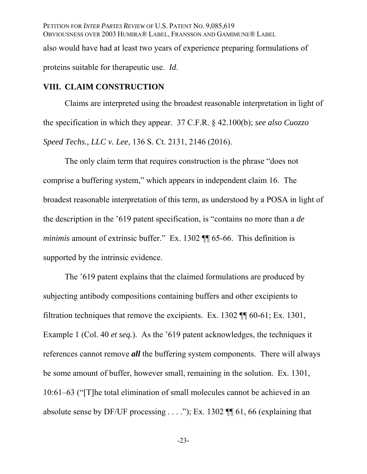PETITION FOR *INTER PARTES REVIEW* OF U.S. PATENT NO. 9,085,619 OBVIOUSNESS OVER 2003 HUMIRA® LABEL, FRANSSON AND GAMIMUNE® LABEL also would have had at least two years of experience preparing formulations of proteins suitable for therapeutic use. *Id*.

## **VIII. CLAIM CONSTRUCTION**

Claims are interpreted using the broadest reasonable interpretation in light of the specification in which they appear. 37 C.F.R. § 42.100(b); *see also Cuozzo Speed Techs., LLC v. Lee*, 136 S. Ct. 2131, 2146 (2016).

The only claim term that requires construction is the phrase "does not comprise a buffering system," which appears in independent claim 16. The broadest reasonable interpretation of this term, as understood by a POSA in light of the description in the '619 patent specification, is "contains no more than a *de minimis* amount of extrinsic buffer." Ex. 1302 **[1]** 65-66. This definition is supported by the intrinsic evidence.

The '619 patent explains that the claimed formulations are produced by subjecting antibody compositions containing buffers and other excipients to filtration techniques that remove the excipients. Ex. 1302 ¶¶ 60-61; Ex. 1301, Example 1 (Col. 40 *et seq.*). As the '619 patent acknowledges, the techniques it references cannot remove *all* the buffering system components. There will always be some amount of buffer, however small, remaining in the solution. Ex. 1301, 10:61–63 ("[T]he total elimination of small molecules cannot be achieved in an absolute sense by DF/UF processing  $\dots$ "); Ex. 1302 [[1] 61, 66 (explaining that

-23-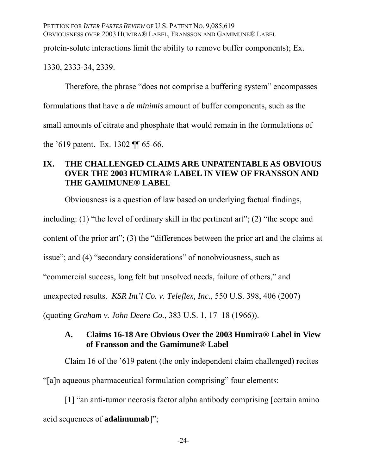protein-solute interactions limit the ability to remove buffer components); Ex.

1330, 2333-34, 2339.

Therefore, the phrase "does not comprise a buffering system" encompasses formulations that have a *de minimis* amount of buffer components, such as the small amounts of citrate and phosphate that would remain in the formulations of the '619 patent. Ex. 1302 ¶¶ 65-66.

# **IX. THE CHALLENGED CLAIMS ARE UNPATENTABLE AS OBVIOUS OVER THE 2003 HUMIRA® LABEL IN VIEW OF FRANSSON AND THE GAMIMUNE® LABEL**

Obviousness is a question of law based on underlying factual findings,

including: (1) "the level of ordinary skill in the pertinent art"; (2) "the scope and

content of the prior art"; (3) the "differences between the prior art and the claims at

issue"; and (4) "secondary considerations" of nonobviousness, such as

"commercial success, long felt but unsolved needs, failure of others," and

unexpected results. *KSR Int'l Co. v. Teleflex, Inc.*, 550 U.S. 398, 406 (2007)

(quoting *Graham v. John Deere Co.*, 383 U.S. 1, 17–18 (1966)).

## **A. Claims 16-18 Are Obvious Over the 2003 Humira® Label in View of Fransson and the Gamimune® Label**

Claim 16 of the '619 patent (the only independent claim challenged) recites "[a]n aqueous pharmaceutical formulation comprising" four elements:

[1] "an anti-tumor necrosis factor alpha antibody comprising [certain amino acid sequences of **adalimumab**]";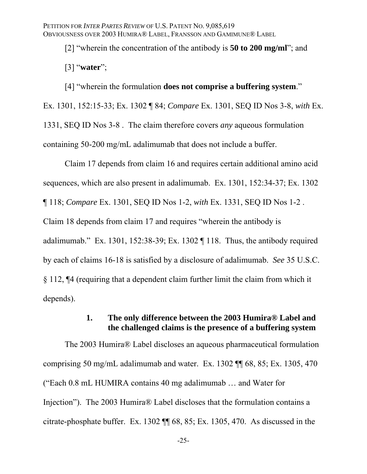[2] "wherein the concentration of the antibody is **50 to 200 mg/ml**"; and

[3] "**water**";

[4] "wherein the formulation **does not comprise a buffering system**." Ex. 1301, 152:15-33; Ex. 1302 ¶ 84; *Compare* Ex. 1301, SEQ ID Nos 3-8, *with* Ex. 1331, SEQ ID Nos 3-8 . The claim therefore covers *any* aqueous formulation containing 50-200 mg/mL adalimumab that does not include a buffer.

Claim 17 depends from claim 16 and requires certain additional amino acid sequences, which are also present in adalimumab. Ex. 1301, 152:34-37; Ex. 1302 ¶ 118; *Compare* Ex. 1301, SEQ ID Nos 1-2, *with* Ex. 1331, SEQ ID Nos 1-2 . Claim 18 depends from claim 17 and requires "wherein the antibody is adalimumab." Ex. 1301, 152:38-39; Ex. 1302 ¶ 118. Thus, the antibody required by each of claims 16-18 is satisfied by a disclosure of adalimumab. *See* 35 U.S.C. § 112, ¶4 (requiring that a dependent claim further limit the claim from which it depends).

## **1. The only difference between the 2003 Humira® Label and the challenged claims is the presence of a buffering system**

The 2003 Humira® Label discloses an aqueous pharmaceutical formulation comprising 50 mg/mL adalimumab and water. Ex. 1302 ¶¶ 68, 85; Ex. 1305, 470 ("Each 0.8 mL HUMIRA contains 40 mg adalimumab … and Water for Injection"). The 2003 Humira® Label discloses that the formulation contains a citrate-phosphate buffer. Ex. 1302 ¶¶ 68, 85; Ex. 1305, 470. As discussed in the

-25-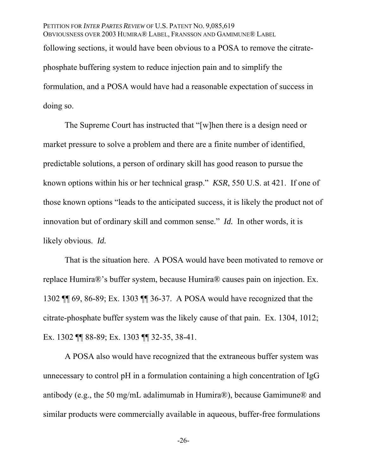PETITION FOR *INTER PARTES REVIEW* OF U.S. PATENT NO. 9,085,619 OBVIOUSNESS OVER 2003 HUMIRA® LABEL, FRANSSON AND GAMIMUNE® LABEL following sections, it would have been obvious to a POSA to remove the citratephosphate buffering system to reduce injection pain and to simplify the formulation, and a POSA would have had a reasonable expectation of success in doing so.

The Supreme Court has instructed that "[w]hen there is a design need or market pressure to solve a problem and there are a finite number of identified, predictable solutions, a person of ordinary skill has good reason to pursue the known options within his or her technical grasp." *KSR*, 550 U.S. at 421. If one of those known options "leads to the anticipated success, it is likely the product not of innovation but of ordinary skill and common sense." *Id.* In other words, it is likely obvious. *Id.*

That is the situation here. A POSA would have been motivated to remove or replace Humira®'s buffer system, because Humira® causes pain on injection. Ex. 1302 ¶¶ 69, 86-89; Ex. 1303 ¶¶ 36-37. A POSA would have recognized that the citrate-phosphate buffer system was the likely cause of that pain. Ex. 1304, 1012; Ex. 1302 ¶¶ 88-89; Ex. 1303 ¶¶ 32-35, 38-41.

A POSA also would have recognized that the extraneous buffer system was unnecessary to control pH in a formulation containing a high concentration of IgG antibody (e.g., the 50 mg/mL adalimumab in Humira®), because Gamimune® and similar products were commercially available in aqueous, buffer-free formulations

-26-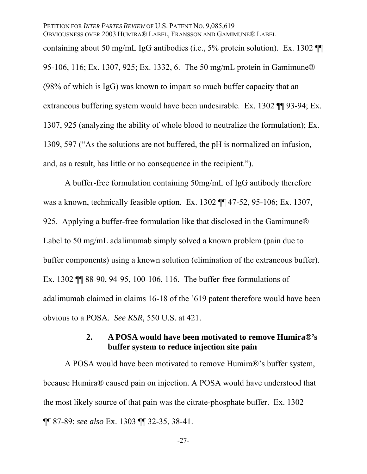# PETITION FOR *INTER PARTES REVIEW* OF U.S. PATENT NO. 9,085,619 OBVIOUSNESS OVER 2003 HUMIRA® LABEL, FRANSSON AND GAMIMUNE® LABEL containing about 50 mg/mL IgG antibodies (i.e., 5% protein solution). Ex. 1302 ¶¶ 95-106, 116; Ex. 1307, 925; Ex. 1332, 6. The 50 mg/mL protein in Gamimune® (98% of which is IgG) was known to impart so much buffer capacity that an extraneous buffering system would have been undesirable. Ex. 1302 ¶¶ 93-94; Ex. 1307, 925 (analyzing the ability of whole blood to neutralize the formulation); Ex. 1309, 597 ("As the solutions are not buffered, the pH is normalized on infusion, and, as a result, has little or no consequence in the recipient.").

A buffer-free formulation containing 50mg/mL of IgG antibody therefore was a known, technically feasible option. Ex. 1302 ¶¶ 47-52, 95-106; Ex. 1307, 925. Applying a buffer-free formulation like that disclosed in the Gamimune® Label to 50 mg/mL adalimumab simply solved a known problem (pain due to buffer components) using a known solution (elimination of the extraneous buffer). Ex. 1302 ¶¶ 88-90, 94-95, 100-106, 116. The buffer-free formulations of adalimumab claimed in claims 16-18 of the '619 patent therefore would have been obvious to a POSA. *See KSR*, 550 U.S. at 421.

## **2. A POSA would have been motivated to remove Humira®'s buffer system to reduce injection site pain**

A POSA would have been motivated to remove Humira®'s buffer system, because Humira® caused pain on injection. A POSA would have understood that the most likely source of that pain was the citrate-phosphate buffer. Ex. 1302 ¶¶ 87-89; *see also* Ex. 1303 ¶¶ 32-35, 38-41.

-27-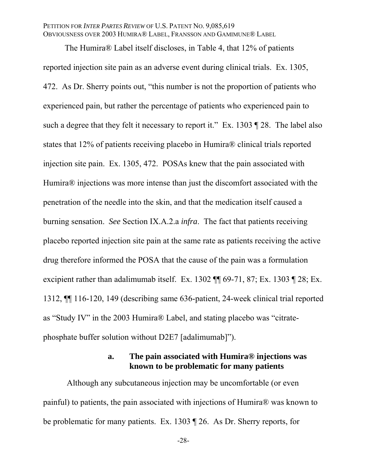The Humira® Label itself discloses, in Table 4, that 12% of patients reported injection site pain as an adverse event during clinical trials. Ex. 1305, 472. As Dr. Sherry points out, "this number is not the proportion of patients who experienced pain, but rather the percentage of patients who experienced pain to such a degree that they felt it necessary to report it." Ex. 1303 ¶ 28. The label also states that 12% of patients receiving placebo in Humira® clinical trials reported injection site pain. Ex. 1305, 472. POSAs knew that the pain associated with Humira® injections was more intense than just the discomfort associated with the penetration of the needle into the skin, and that the medication itself caused a burning sensation. *See* Section IX.A.2.a *infra*. The fact that patients receiving placebo reported injection site pain at the same rate as patients receiving the active drug therefore informed the POSA that the cause of the pain was a formulation excipient rather than adalimumab itself. Ex. 1302 ¶¶ 69-71, 87; Ex. 1303 ¶ 28; Ex. 1312, ¶¶ 116-120, 149 (describing same 636-patient, 24-week clinical trial reported as "Study IV" in the 2003 Humira® Label, and stating placebo was "citratephosphate buffer solution without D2E7 [adalimumab]").

## **a. The pain associated with Humira® injections was known to be problematic for many patients**

 Although any subcutaneous injection may be uncomfortable (or even painful) to patients, the pain associated with injections of Humira® was known to be problematic for many patients. Ex. 1303 ¶ 26. As Dr. Sherry reports, for

-28-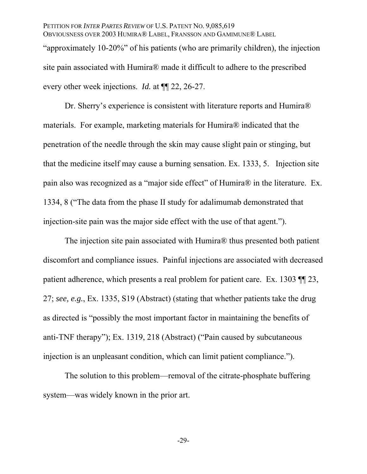site pain associated with Humira® made it difficult to adhere to the prescribed every other week injections. *Id.* at ¶¶ 22, 26-27.

Dr. Sherry's experience is consistent with literature reports and Humira® materials. For example, marketing materials for Humira® indicated that the penetration of the needle through the skin may cause slight pain or stinging, but that the medicine itself may cause a burning sensation. Ex. 1333, 5. Injection site pain also was recognized as a "major side effect" of Humira® in the literature. Ex. 1334, 8 ("The data from the phase II study for adalimumab demonstrated that injection-site pain was the major side effect with the use of that agent.").

The injection site pain associated with Humira® thus presented both patient discomfort and compliance issues. Painful injections are associated with decreased patient adherence, which presents a real problem for patient care. Ex. 1303 ¶¶ 23, 27; *see, e.g.*, Ex. 1335, S19 (Abstract) (stating that whether patients take the drug as directed is "possibly the most important factor in maintaining the benefits of anti-TNF therapy"); Ex. 1319, 218 (Abstract) ("Pain caused by subcutaneous injection is an unpleasant condition, which can limit patient compliance.").

The solution to this problem—removal of the citrate-phosphate buffering system—was widely known in the prior art.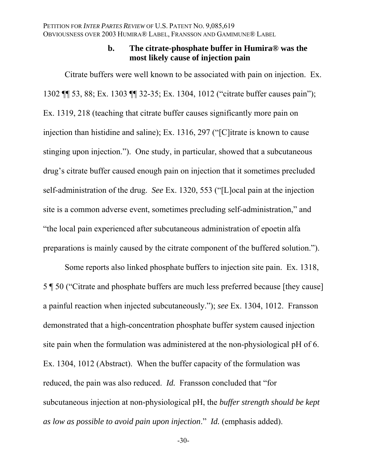## **b. The citrate-phosphate buffer in Humira® was the most likely cause of injection pain**

Citrate buffers were well known to be associated with pain on injection. Ex. 1302 ¶¶ 53, 88; Ex. 1303 ¶¶ 32-35; Ex. 1304, 1012 ("citrate buffer causes pain"); Ex. 1319, 218 (teaching that citrate buffer causes significantly more pain on injection than histidine and saline); Ex. 1316, 297 ("[C]itrate is known to cause stinging upon injection."). One study, in particular, showed that a subcutaneous drug's citrate buffer caused enough pain on injection that it sometimes precluded self-administration of the drug. *See* Ex. 1320, 553 ("[L]ocal pain at the injection site is a common adverse event, sometimes precluding self-administration," and "the local pain experienced after subcutaneous administration of epoetin alfa preparations is mainly caused by the citrate component of the buffered solution.").

Some reports also linked phosphate buffers to injection site pain. Ex. 1318, 5 ¶ 50 ("Citrate and phosphate buffers are much less preferred because [they cause] a painful reaction when injected subcutaneously."); *see* Ex. 1304, 1012. Fransson demonstrated that a high-concentration phosphate buffer system caused injection site pain when the formulation was administered at the non-physiological pH of 6. Ex. 1304, 1012 (Abstract). When the buffer capacity of the formulation was reduced, the pain was also reduced. *Id.* Fransson concluded that "for subcutaneous injection at non-physiological pH, the *buffer strength should be kept as low as possible to avoid pain upon injection*." *Id.* (emphasis added).

-30-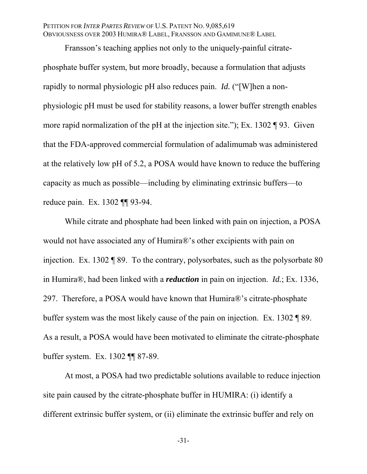Fransson's teaching applies not only to the uniquely-painful citratephosphate buffer system, but more broadly, because a formulation that adjusts rapidly to normal physiologic pH also reduces pain. *Id.* ("[W]hen a nonphysiologic pH must be used for stability reasons, a lower buffer strength enables more rapid normalization of the pH at the injection site."); Ex. 1302 ¶ 93. Given that the FDA-approved commercial formulation of adalimumab was administered at the relatively low pH of 5.2, a POSA would have known to reduce the buffering capacity as much as possible—including by eliminating extrinsic buffers—to reduce pain. Ex. 1302 ¶¶ 93-94.

While citrate and phosphate had been linked with pain on injection, a POSA would not have associated any of Humira®'s other excipients with pain on injection. Ex. 1302 ¶ 89. To the contrary, polysorbates, such as the polysorbate 80 in Humira®, had been linked with a *reduction* in pain on injection. *Id.*; Ex. 1336, 297. Therefore, a POSA would have known that Humira®'s citrate-phosphate buffer system was the most likely cause of the pain on injection. Ex. 1302 ¶ 89. As a result, a POSA would have been motivated to eliminate the citrate-phosphate buffer system. Ex. 1302 ¶¶ 87-89.

At most, a POSA had two predictable solutions available to reduce injection site pain caused by the citrate-phosphate buffer in HUMIRA: (i) identify a different extrinsic buffer system, or (ii) eliminate the extrinsic buffer and rely on

-31-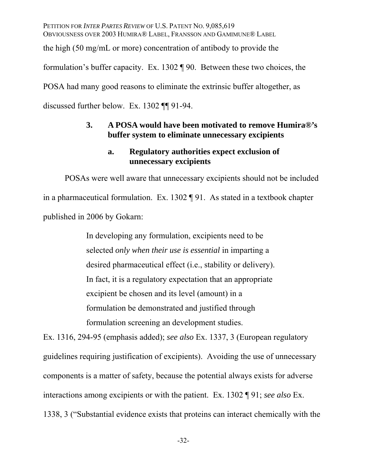PETITION FOR *INTER PARTES REVIEW* OF U.S. PATENT NO. 9,085,619 OBVIOUSNESS OVER 2003 HUMIRA® LABEL, FRANSSON AND GAMIMUNE® LABEL the high (50 mg/mL or more) concentration of antibody to provide the formulation's buffer capacity. Ex. 1302 ¶ 90. Between these two choices, the POSA had many good reasons to eliminate the extrinsic buffer altogether, as discussed further below. Ex. 1302 ¶¶ 91-94.

## **3. A POSA would have been motivated to remove Humira®'s buffer system to eliminate unnecessary excipients**

## **a. Regulatory authorities expect exclusion of unnecessary excipients**

POSAs were well aware that unnecessary excipients should not be included in a pharmaceutical formulation. Ex. 1302 ¶ 91. As stated in a textbook chapter published in 2006 by Gokarn:

> In developing any formulation, excipients need to be selected *only when their use is essential* in imparting a desired pharmaceutical effect (i.e., stability or delivery). In fact, it is a regulatory expectation that an appropriate excipient be chosen and its level (amount) in a formulation be demonstrated and justified through formulation screening an development studies.

Ex. 1316, 294-95 (emphasis added); *see also* Ex. 1337, 3 (European regulatory guidelines requiring justification of excipients). Avoiding the use of unnecessary components is a matter of safety, because the potential always exists for adverse interactions among excipients or with the patient. Ex. 1302 ¶ 91; *see also* Ex. 1338, 3 ("Substantial evidence exists that proteins can interact chemically with the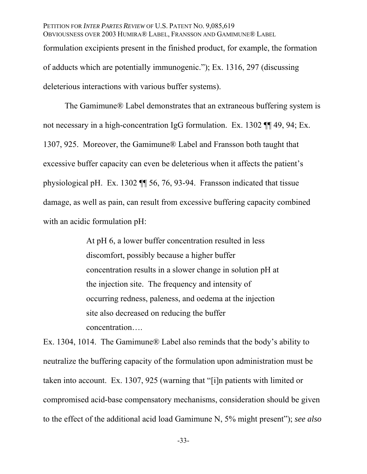PETITION FOR *INTER PARTES REVIEW* OF U.S. PATENT NO. 9,085,619 OBVIOUSNESS OVER 2003 HUMIRA® LABEL, FRANSSON AND GAMIMUNE® LABEL formulation excipients present in the finished product, for example, the formation of adducts which are potentially immunogenic."); Ex. 1316, 297 (discussing deleterious interactions with various buffer systems).

The Gamimune® Label demonstrates that an extraneous buffering system is not necessary in a high-concentration IgG formulation. Ex. 1302 ¶¶ 49, 94; Ex. 1307, 925. Moreover, the Gamimune® Label and Fransson both taught that excessive buffer capacity can even be deleterious when it affects the patient's physiological pH. Ex. 1302 ¶¶ 56, 76, 93-94. Fransson indicated that tissue damage, as well as pain, can result from excessive buffering capacity combined with an acidic formulation pH:

> At pH 6, a lower buffer concentration resulted in less discomfort, possibly because a higher buffer concentration results in a slower change in solution pH at the injection site. The frequency and intensity of occurring redness, paleness, and oedema at the injection site also decreased on reducing the buffer concentration….

Ex. 1304, 1014. The Gamimune® Label also reminds that the body's ability to neutralize the buffering capacity of the formulation upon administration must be taken into account. Ex. 1307, 925 (warning that "[i]n patients with limited or compromised acid-base compensatory mechanisms, consideration should be given to the effect of the additional acid load Gamimune N, 5% might present"); *see also* 

-33-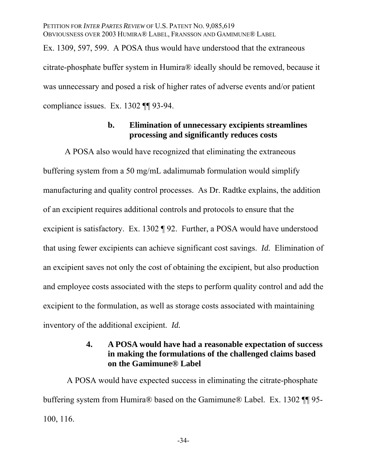PETITION FOR *INTER PARTES REVIEW* OF U.S. PATENT NO. 9,085,619 OBVIOUSNESS OVER 2003 HUMIRA® LABEL, FRANSSON AND GAMIMUNE® LABEL Ex. 1309, 597, 599. A POSA thus would have understood that the extraneous citrate-phosphate buffer system in Humira® ideally should be removed, because it was unnecessary and posed a risk of higher rates of adverse events and/or patient compliance issues. Ex. 1302 ¶¶ 93-94.

## **b. Elimination of unnecessary excipients streamlines processing and significantly reduces costs**

A POSA also would have recognized that eliminating the extraneous buffering system from a 50 mg/mL adalimumab formulation would simplify manufacturing and quality control processes. As Dr. Radtke explains, the addition of an excipient requires additional controls and protocols to ensure that the excipient is satisfactory. Ex. 1302 ¶ 92. Further, a POSA would have understood that using fewer excipients can achieve significant cost savings. *Id.* Elimination of an excipient saves not only the cost of obtaining the excipient, but also production and employee costs associated with the steps to perform quality control and add the excipient to the formulation, as well as storage costs associated with maintaining inventory of the additional excipient. *Id.*

## **4. A POSA would have had a reasonable expectation of success in making the formulations of the challenged claims based on the Gamimune® Label**

 A POSA would have expected success in eliminating the citrate-phosphate buffering system from Humira® based on the Gamimune® Label. Ex. 1302 ¶¶ 95- 100, 116.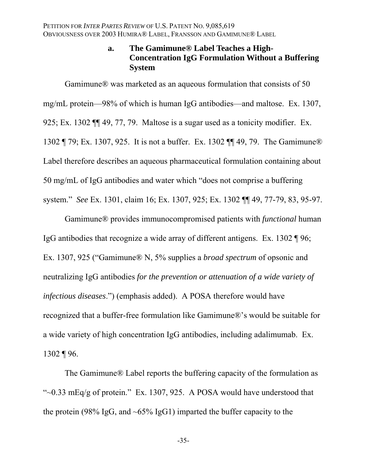## **a. The Gamimune® Label Teaches a High-Concentration IgG Formulation Without a Buffering System**

Gamimune® was marketed as an aqueous formulation that consists of 50 mg/mL protein—98% of which is human IgG antibodies—and maltose. Ex. 1307, 925; Ex. 1302 ¶¶ 49, 77, 79. Maltose is a sugar used as a tonicity modifier. Ex. 1302 ¶ 79; Ex. 1307, 925. It is not a buffer. Ex. 1302 ¶¶ 49, 79. The Gamimune® Label therefore describes an aqueous pharmaceutical formulation containing about 50 mg/mL of IgG antibodies and water which "does not comprise a buffering system." *See* Ex. 1301, claim 16; Ex. 1307, 925; Ex. 1302 ¶¶ 49, 77-79, 83, 95-97.

Gamimune® provides immunocompromised patients with *functional* human IgG antibodies that recognize a wide array of different antigens. Ex. 1302 ¶ 96; Ex. 1307, 925 ("Gamimune® N, 5% supplies a *broad spectrum* of opsonic and neutralizing IgG antibodies *for the prevention or attenuation of a wide variety of infectious diseases*.") (emphasis added). A POSA therefore would have recognized that a buffer-free formulation like Gamimune®'s would be suitable for a wide variety of high concentration IgG antibodies, including adalimumab. Ex.  $1302 \text{ } \sqrt{96}$ .

The Gamimune® Label reports the buffering capacity of the formulation as " $\sim$ 0.33 mEq/g of protein." Ex. 1307, 925. A POSA would have understood that the protein (98% IgG, and  $\sim 65\%$  IgG1) imparted the buffer capacity to the

-35-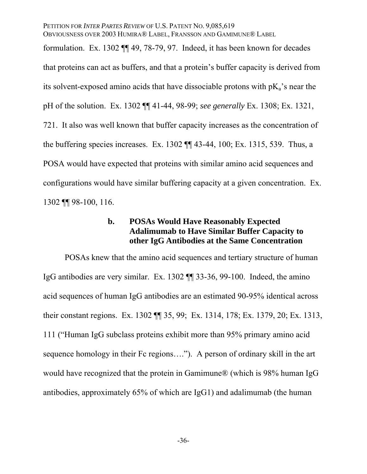PETITION FOR *INTER PARTES REVIEW* OF U.S. PATENT NO. 9,085,619 OBVIOUSNESS OVER 2003 HUMIRA® LABEL, FRANSSON AND GAMIMUNE® LABEL formulation. Ex. 1302 ¶¶ 49, 78-79, 97. Indeed, it has been known for decades that proteins can act as buffers, and that a protein's buffer capacity is derived from its solvent-exposed amino acids that have dissociable protons with  $pK_a$ 's near the pH of the solution. Ex. 1302 ¶¶ 41-44, 98-99; *see generally* Ex. 1308; Ex. 1321, 721. It also was well known that buffer capacity increases as the concentration of the buffering species increases. Ex. 1302 ¶¶ 43-44, 100; Ex. 1315, 539. Thus, a POSA would have expected that proteins with similar amino acid sequences and configurations would have similar buffering capacity at a given concentration. Ex. 1302 ¶¶ 98-100, 116.

## **b. POSAs Would Have Reasonably Expected Adalimumab to Have Similar Buffer Capacity to other IgG Antibodies at the Same Concentration**

POSAs knew that the amino acid sequences and tertiary structure of human IgG antibodies are very similar. Ex. 1302 ¶¶ 33-36, 99-100. Indeed, the amino acid sequences of human IgG antibodies are an estimated 90-95% identical across their constant regions. Ex. 1302 ¶¶ 35, 99; Ex. 1314, 178; Ex. 1379, 20; Ex. 1313, 111 ("Human IgG subclass proteins exhibit more than 95% primary amino acid sequence homology in their Fc regions...."). A person of ordinary skill in the art would have recognized that the protein in Gamimune® (which is 98% human IgG antibodies, approximately 65% of which are IgG1) and adalimumab (the human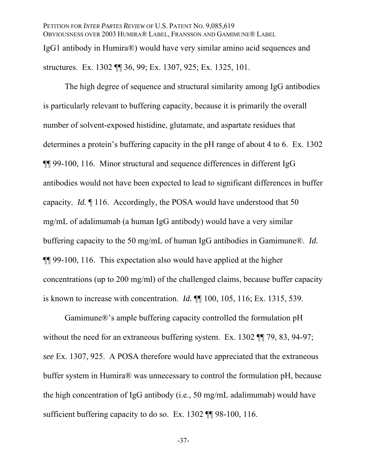The high degree of sequence and structural similarity among IgG antibodies is particularly relevant to buffering capacity, because it is primarily the overall number of solvent-exposed histidine, glutamate, and aspartate residues that determines a protein's buffering capacity in the pH range of about 4 to 6. Ex. 1302 ¶¶ 99-100, 116. Minor structural and sequence differences in different IgG antibodies would not have been expected to lead to significant differences in buffer capacity. *Id.* ¶ 116. Accordingly, the POSA would have understood that 50 mg/mL of adalimumab (a human IgG antibody) would have a very similar buffering capacity to the 50 mg/mL of human IgG antibodies in Gamimune®. *Id.* ¶¶ 99-100, 116. This expectation also would have applied at the higher concentrations (up to 200 mg/ml) of the challenged claims, because buffer capacity is known to increase with concentration. *Id.* ¶¶ 100, 105, 116; Ex. 1315, 539.

Gamimune®'s ample buffering capacity controlled the formulation pH without the need for an extraneous buffering system. Ex. 1302 TI 79, 83, 94-97; *see* Ex. 1307, 925. A POSA therefore would have appreciated that the extraneous buffer system in Humira® was unnecessary to control the formulation pH, because the high concentration of IgG antibody (i.e., 50 mg/mL adalimumab) would have sufficient buffering capacity to do so. Ex. 1302  $\P$  98-100, 116.

-37-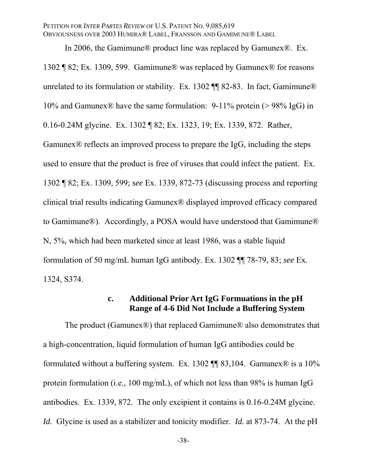In 2006, the Gamimune® product line was replaced by Gamunex®. Ex. 1302 ¶ 82; Ex. 1309, 599. Gamimune® was replaced by Gamunex® for reasons unrelated to its formulation or stability. Ex. 1302  $\P$  82-83. In fact, Gamimune® 10% and Gamunex® have the same formulation: 9-11% protein (> 98% IgG) in 0.16-0.24M glycine. Ex. 1302 ¶ 82; Ex. 1323, 19; Ex. 1339, 872. Rather, Gamunex® reflects an improved process to prepare the IgG, including the steps used to ensure that the product is free of viruses that could infect the patient. Ex. 1302 ¶ 82; Ex. 1309, 599; *see* Ex. 1339, 872-73 (discussing process and reporting clinical trial results indicating Gamunex® displayed improved efficacy compared to Gamimune®). Accordingly, a POSA would have understood that Gamimune® N, 5%, which had been marketed since at least 1986, was a stable liquid formulation of 50 mg/mL human IgG antibody. Ex. 1302 ¶¶ 78-79, 83; *see* Ex. 1324, S374.

## **c. Additional Prior Art IgG Formuations in the pH Range of 4-6 Did Not Include a Buffering System**

The product (Gamunex®) that replaced Gamimune® also demonstrates that a high-concentration, liquid formulation of human IgG antibodies could be formulated without a buffering system. Ex. 1302  $\P$  83,104. Gamunex $\otimes$  is a 10% protein formulation (i.e., 100 mg/mL), of which not less than 98% is human IgG antibodies. Ex. 1339, 872. The only excipient it contains is 0.16-0.24M glycine. *Id.* Glycine is used as a stabilizer and tonicity modifier. *Id.* at 873-74. At the pH

-38-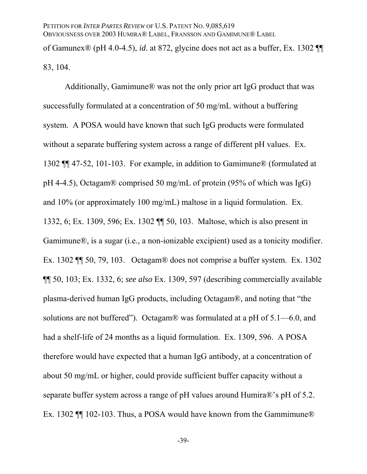of Gamunex® (pH 4.0-4.5), *id.* at 872, glycine does not act as a buffer, Ex. 1302 ¶¶ 83, 104.

Additionally, Gamimune® was not the only prior art IgG product that was successfully formulated at a concentration of 50 mg/mL without a buffering system. A POSA would have known that such IgG products were formulated without a separate buffering system across a range of different pH values. Ex. 1302 ¶¶ 47-52, 101-103. For example, in addition to Gamimune® (formulated at pH 4-4.5), Octagam® comprised 50 mg/mL of protein (95% of which was IgG) and 10% (or approximately 100 mg/mL) maltose in a liquid formulation. Ex. 1332, 6; Ex. 1309, 596; Ex. 1302 ¶¶ 50, 103. Maltose, which is also present in Gamimune®, is a sugar (i.e., a non-ionizable excipient) used as a tonicity modifier. Ex. 1302 ¶¶ 50, 79, 103. Octagam® does not comprise a buffer system. Ex. 1302 ¶¶ 50, 103; Ex. 1332, 6; *see also* Ex. 1309, 597 (describing commercially available plasma-derived human IgG products, including Octagam®, and noting that "the solutions are not buffered"). Octagam® was formulated at a pH of 5.1—6.0, and had a shelf-life of 24 months as a liquid formulation. Ex. 1309, 596. A POSA therefore would have expected that a human IgG antibody, at a concentration of about 50 mg/mL or higher, could provide sufficient buffer capacity without a separate buffer system across a range of pH values around Humira®'s pH of 5.2. Ex. 1302  $\P$  102-103. Thus, a POSA would have known from the Gammimune®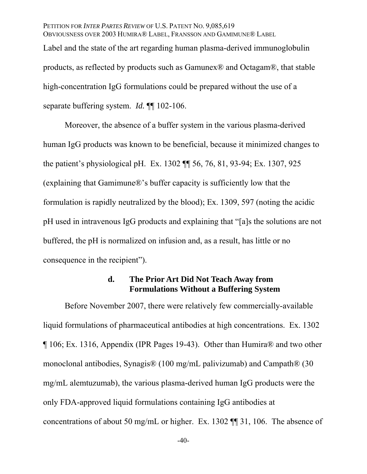Label and the state of the art regarding human plasma-derived immunoglobulin products, as reflected by products such as Gamunex® and Octagam®, that stable high-concentration IgG formulations could be prepared without the use of a separate buffering system. *Id.* ¶¶ 102-106.

Moreover, the absence of a buffer system in the various plasma-derived human IgG products was known to be beneficial, because it minimized changes to the patient's physiological pH. Ex. 1302 ¶¶ 56, 76, 81, 93-94; Ex. 1307, 925 (explaining that Gamimune®'s buffer capacity is sufficiently low that the formulation is rapidly neutralized by the blood); Ex. 1309, 597 (noting the acidic pH used in intravenous IgG products and explaining that "[a]s the solutions are not buffered, the pH is normalized on infusion and, as a result, has little or no consequence in the recipient").

## **d. The Prior Art Did Not Teach Away from Formulations Without a Buffering System**

Before November 2007, there were relatively few commercially-available liquid formulations of pharmaceutical antibodies at high concentrations. Ex. 1302 ¶ 106; Ex. 1316, Appendix (IPR Pages 19-43). Other than Humira® and two other monoclonal antibodies, Synagis® (100 mg/mL palivizumab) and Campath® (30 mg/mL alemtuzumab), the various plasma-derived human IgG products were the only FDA-approved liquid formulations containing IgG antibodies at concentrations of about 50 mg/mL or higher. Ex. 1302 ¶¶ 31, 106. The absence of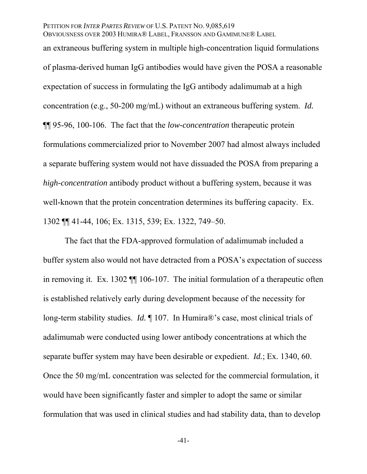an extraneous buffering system in multiple high-concentration liquid formulations of plasma-derived human IgG antibodies would have given the POSA a reasonable expectation of success in formulating the IgG antibody adalimumab at a high concentration (e.g., 50-200 mg/mL) without an extraneous buffering system. *Id.* ¶¶ 95-96, 100-106. The fact that the *low-concentration* therapeutic protein formulations commercialized prior to November 2007 had almost always included a separate buffering system would not have dissuaded the POSA from preparing a *high-concentration* antibody product without a buffering system, because it was well-known that the protein concentration determines its buffering capacity. Ex. 1302 ¶¶ 41-44, 106; Ex. 1315, 539; Ex. 1322, 749–50.

The fact that the FDA-approved formulation of adalimumab included a buffer system also would not have detracted from a POSA's expectation of success in removing it. Ex. 1302 ¶¶ 106-107. The initial formulation of a therapeutic often is established relatively early during development because of the necessity for long-term stability studies. *Id.* ¶ 107. In Humira®'s case, most clinical trials of adalimumab were conducted using lower antibody concentrations at which the separate buffer system may have been desirable or expedient. *Id.*; Ex. 1340, 60. Once the 50 mg/mL concentration was selected for the commercial formulation, it would have been significantly faster and simpler to adopt the same or similar formulation that was used in clinical studies and had stability data, than to develop

-41-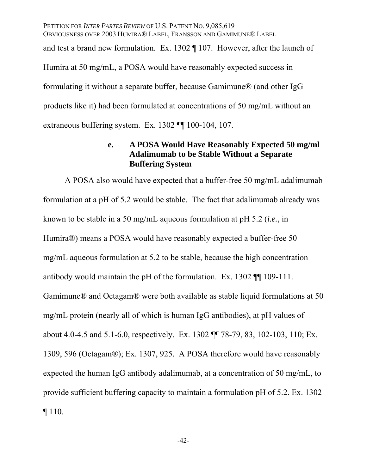PETITION FOR *INTER PARTES REVIEW* OF U.S. PATENT NO. 9,085,619 OBVIOUSNESS OVER 2003 HUMIRA® LABEL, FRANSSON AND GAMIMUNE® LABEL and test a brand new formulation. Ex. 1302 ¶ 107. However, after the launch of Humira at 50 mg/mL, a POSA would have reasonably expected success in formulating it without a separate buffer, because Gamimune® (and other IgG products like it) had been formulated at concentrations of 50 mg/mL without an extraneous buffering system. Ex. 1302 ¶¶ 100-104, 107.

## **e. A POSA Would Have Reasonably Expected 50 mg/ml Adalimumab to be Stable Without a Separate Buffering System**

A POSA also would have expected that a buffer-free 50 mg/mL adalimumab formulation at a pH of 5.2 would be stable. The fact that adalimumab already was known to be stable in a 50 mg/mL aqueous formulation at pH 5.2 (*i.e.*, in Humira®) means a POSA would have reasonably expected a buffer-free 50 mg/mL aqueous formulation at 5.2 to be stable, because the high concentration antibody would maintain the pH of the formulation. Ex. 1302 ¶¶ 109-111. Gamimune® and Octagam® were both available as stable liquid formulations at 50 mg/mL protein (nearly all of which is human IgG antibodies), at pH values of about 4.0-4.5 and 5.1-6.0, respectively. Ex. 1302 ¶¶ 78-79, 83, 102-103, 110; Ex. 1309, 596 (Octagam®); Ex. 1307, 925. A POSA therefore would have reasonably expected the human IgG antibody adalimumab, at a concentration of 50 mg/mL, to provide sufficient buffering capacity to maintain a formulation pH of 5.2. Ex. 1302 ¶ 110.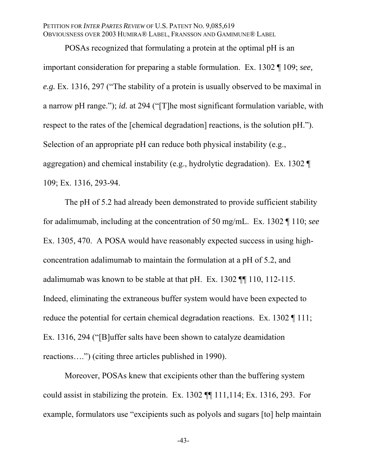POSAs recognized that formulating a protein at the optimal pH is an important consideration for preparing a stable formulation. Ex. 1302 ¶ 109; *see, e.g.* Ex. 1316, 297 ("The stability of a protein is usually observed to be maximal in a narrow pH range."); *id.* at 294 ("[T]he most significant formulation variable, with respect to the rates of the [chemical degradation] reactions, is the solution pH."). Selection of an appropriate pH can reduce both physical instability (e.g., aggregation) and chemical instability (e.g., hydrolytic degradation). Ex. 1302 ¶ 109; Ex. 1316, 293-94.

The pH of 5.2 had already been demonstrated to provide sufficient stability for adalimumab, including at the concentration of 50 mg/mL. Ex. 1302 ¶ 110; *see*  Ex. 1305, 470. A POSA would have reasonably expected success in using highconcentration adalimumab to maintain the formulation at a pH of 5.2, and adalimumab was known to be stable at that pH. Ex. 1302 ¶¶ 110, 112-115. Indeed, eliminating the extraneous buffer system would have been expected to reduce the potential for certain chemical degradation reactions. Ex. 1302 [111; Ex. 1316, 294 ("[B]uffer salts have been shown to catalyze deamidation reactions….") (citing three articles published in 1990).

Moreover, POSAs knew that excipients other than the buffering system could assist in stabilizing the protein. Ex. 1302 ¶¶ 111,114; Ex. 1316, 293. For example, formulators use "excipients such as polyols and sugars [to] help maintain

-43-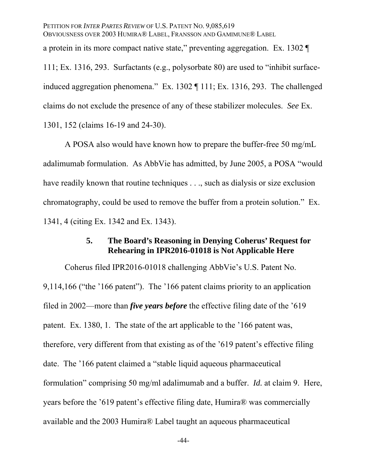PETITION FOR *INTER PARTES REVIEW* OF U.S. PATENT NO. 9,085,619 OBVIOUSNESS OVER 2003 HUMIRA® LABEL, FRANSSON AND GAMIMUNE® LABEL a protein in its more compact native state," preventing aggregation. Ex. 1302 ¶ 111; Ex. 1316, 293. Surfactants (e.g., polysorbate 80) are used to "inhibit surfaceinduced aggregation phenomena." Ex. 1302 ¶ 111; Ex. 1316, 293. The challenged claims do not exclude the presence of any of these stabilizer molecules. *See* Ex. 1301, 152 (claims 16-19 and 24-30).

A POSA also would have known how to prepare the buffer-free 50 mg/mL adalimumab formulation. As AbbVie has admitted, by June 2005, a POSA "would have readily known that routine techniques . . ., such as dialysis or size exclusion chromatography, could be used to remove the buffer from a protein solution." Ex. 1341, 4 (citing Ex. 1342 and Ex. 1343).

## **5. The Board's Reasoning in Denying Coherus' Request for Rehearing in IPR2016-01018 is Not Applicable Here**

Coherus filed IPR2016-01018 challenging AbbVie's U.S. Patent No. 9,114,166 ("the '166 patent"). The '166 patent claims priority to an application filed in 2002—more than *five years before* the effective filing date of the '619 patent. Ex. 1380, 1. The state of the art applicable to the '166 patent was, therefore, very different from that existing as of the '619 patent's effective filing date. The '166 patent claimed a "stable liquid aqueous pharmaceutical formulation" comprising 50 mg/ml adalimumab and a buffer. *Id.* at claim 9. Here, years before the '619 patent's effective filing date, Humira® was commercially available and the 2003 Humira® Label taught an aqueous pharmaceutical

-44-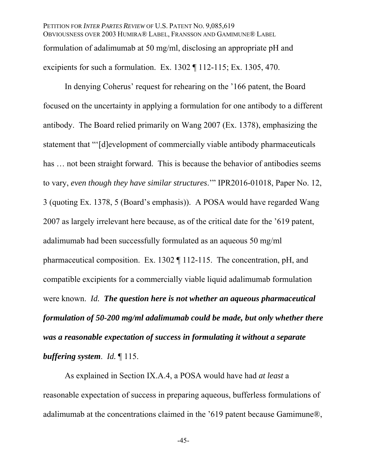PETITION FOR *INTER PARTES REVIEW* OF U.S. PATENT NO. 9,085,619 OBVIOUSNESS OVER 2003 HUMIRA® LABEL, FRANSSON AND GAMIMUNE® LABEL formulation of adalimumab at 50 mg/ml, disclosing an appropriate pH and excipients for such a formulation. Ex. 1302 ¶ 112-115; Ex. 1305, 470.

In denying Coherus' request for rehearing on the '166 patent, the Board focused on the uncertainty in applying a formulation for one antibody to a different antibody. The Board relied primarily on Wang 2007 (Ex. 1378), emphasizing the statement that "'[d]evelopment of commercially viable antibody pharmaceuticals has ... not been straight forward. This is because the behavior of antibodies seems to vary, *even though they have similar structures*.'" IPR2016-01018, Paper No. 12, 3 (quoting Ex. 1378, 5 (Board's emphasis)). A POSA would have regarded Wang 2007 as largely irrelevant here because, as of the critical date for the '619 patent, adalimumab had been successfully formulated as an aqueous 50 mg/ml pharmaceutical composition. Ex. 1302 ¶ 112-115. The concentration, pH, and compatible excipients for a commercially viable liquid adalimumab formulation were known. *Id. The question here is not whether an aqueous pharmaceutical formulation of 50-200 mg/ml adalimumab could be made, but only whether there was a reasonable expectation of success in formulating it without a separate buffering system*. *Id.* ¶ 115.

As explained in Section IX.A.4, a POSA would have had *at least* a reasonable expectation of success in preparing aqueous, bufferless formulations of adalimumab at the concentrations claimed in the '619 patent because Gamimune®,

-45-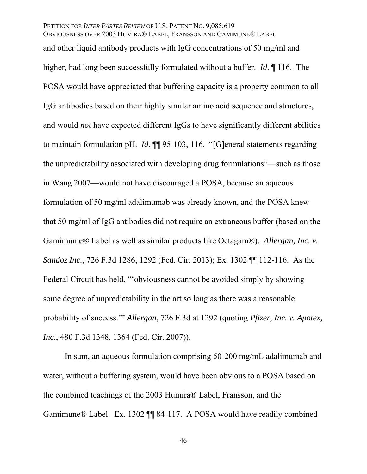and other liquid antibody products with IgG concentrations of 50 mg/ml and higher, had long been successfully formulated without a buffer. *Id.* ¶ 116. The POSA would have appreciated that buffering capacity is a property common to all IgG antibodies based on their highly similar amino acid sequence and structures, and would *not* have expected different IgGs to have significantly different abilities to maintain formulation pH. *Id.* ¶¶ 95-103, 116. "[G]eneral statements regarding the unpredictability associated with developing drug formulations"—such as those in Wang 2007—would not have discouraged a POSA, because an aqueous formulation of 50 mg/ml adalimumab was already known, and the POSA knew that 50 mg/ml of IgG antibodies did not require an extraneous buffer (based on the Gamimume® Label as well as similar products like Octagam®). *Allergan, Inc. v. Sandoz Inc.*, 726 F.3d 1286, 1292 (Fed. Cir. 2013); Ex. 1302 ¶¶ 112-116. As the Federal Circuit has held, "'obviousness cannot be avoided simply by showing some degree of unpredictability in the art so long as there was a reasonable probability of success.'" *Allergan*, 726 F.3d at 1292 (quoting *Pfizer, Inc. v. Apotex, Inc.*, 480 F.3d 1348, 1364 (Fed. Cir. 2007)).

In sum, an aqueous formulation comprising 50-200 mg/mL adalimumab and water, without a buffering system, would have been obvious to a POSA based on the combined teachings of the 2003 Humira® Label, Fransson, and the Gamimune® Label. Ex. 1302 ¶¶ 84-117. A POSA would have readily combined

-46-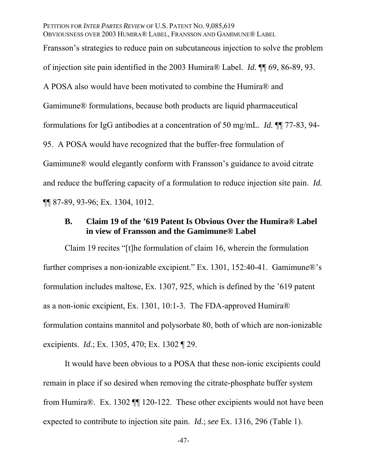Fransson's strategies to reduce pain on subcutaneous injection to solve the problem of injection site pain identified in the 2003 Humira® Label. *Id.* ¶¶ 69, 86-89, 93. A POSA also would have been motivated to combine the Humira® and Gamimune® formulations, because both products are liquid pharmaceutical formulations for IgG antibodies at a concentration of 50 mg/mL. *Id.* ¶¶ 77-83, 94- 95. A POSA would have recognized that the buffer-free formulation of Gamimune® would elegantly conform with Fransson's guidance to avoid citrate and reduce the buffering capacity of a formulation to reduce injection site pain. *Id.* ¶¶ 87-89, 93-96; Ex. 1304, 1012.

## **B. Claim 19 of the '619 Patent Is Obvious Over the Humira® Label in view of Fransson and the Gamimune® Label**

Claim 19 recites "[t]he formulation of claim 16, wherein the formulation further comprises a non-ionizable excipient." Ex. 1301, 152:40-41. Gamimune®'s formulation includes maltose, Ex. 1307, 925, which is defined by the '619 patent as a non-ionic excipient, Ex. 1301, 10:1-3. The FDA-approved Humira® formulation contains mannitol and polysorbate 80, both of which are non-ionizable excipients. *Id.*; Ex. 1305, 470; Ex. 1302 ¶ 29.

It would have been obvious to a POSA that these non-ionic excipients could remain in place if so desired when removing the citrate-phosphate buffer system from Humira®. Ex. 1302 ¶¶ 120-122. These other excipients would not have been expected to contribute to injection site pain. *Id.*; *see* Ex. 1316, 296 (Table 1).

-47-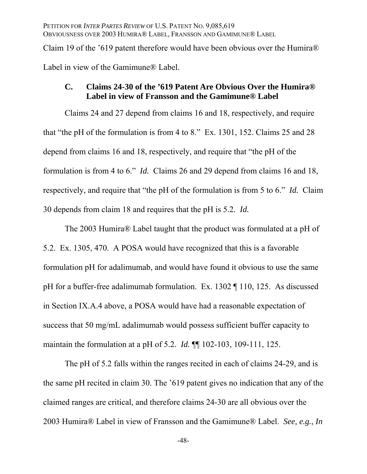Claim 19 of the '619 patent therefore would have been obvious over the Humira® Label in view of the Gamimune® Label.

## **C. Claims 24-30 of the '619 Patent Are Obvious Over the Humira® Label in view of Fransson and the Gamimune® Label**

Claims 24 and 27 depend from claims 16 and 18, respectively, and require that "the pH of the formulation is from 4 to 8." Ex. 1301, 152. Claims 25 and 28 depend from claims 16 and 18, respectively, and require that "the pH of the formulation is from 4 to 6." *Id.* Claims 26 and 29 depend from claims 16 and 18, respectively, and require that "the pH of the formulation is from 5 to 6." *Id.* Claim 30 depends from claim 18 and requires that the pH is 5.2. *Id.*

The 2003 Humira® Label taught that the product was formulated at a pH of 5.2. Ex. 1305, 470. A POSA would have recognized that this is a favorable formulation pH for adalimumab, and would have found it obvious to use the same pH for a buffer-free adalimumab formulation. Ex. 1302 ¶ 110, 125. As discussed in Section IX.A.4 above, a POSA would have had a reasonable expectation of success that 50 mg/mL adalimumab would possess sufficient buffer capacity to maintain the formulation at a pH of 5.2. *Id.* ¶¶ 102-103, 109-111, 125.

The pH of 5.2 falls within the ranges recited in each of claims 24-29, and is the same pH recited in claim 30. The '619 patent gives no indication that any of the claimed ranges are critical, and therefore claims 24-30 are all obvious over the 2003 Humira® Label in view of Fransson and the Gamimune® Label. *See, e.g.*, *In* 

-48-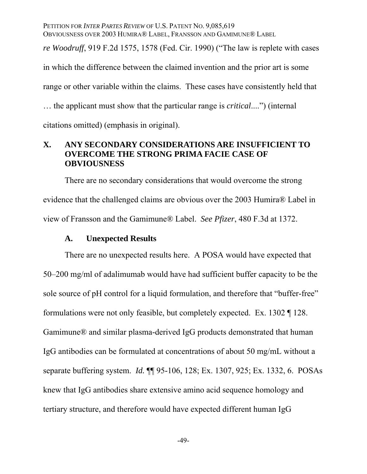PETITION FOR *INTER PARTES REVIEW* OF U.S. PATENT NO. 9,085,619 OBVIOUSNESS OVER 2003 HUMIRA® LABEL, FRANSSON AND GAMIMUNE® LABEL *re Woodruff*, 919 F.2d 1575, 1578 (Fed. Cir. 1990) ("The law is replete with cases in which the difference between the claimed invention and the prior art is some range or other variable within the claims. These cases have consistently held that … the applicant must show that the particular range is *critical*....") (internal citations omitted) (emphasis in original).

## **X. ANY SECONDARY CONSIDERATIONS ARE INSUFFICIENT TO OVERCOME THE STRONG PRIMA FACIE CASE OF OBVIOUSNESS**

There are no secondary considerations that would overcome the strong evidence that the challenged claims are obvious over the 2003 Humira® Label in view of Fransson and the Gamimune® Label. *See Pfizer*, 480 F.3d at 1372.

#### **A. Unexpected Results**

There are no unexpected results here. A POSA would have expected that 50–200 mg/ml of adalimumab would have had sufficient buffer capacity to be the sole source of pH control for a liquid formulation, and therefore that "buffer-free" formulations were not only feasible, but completely expected. Ex. 1302 ¶ 128. Gamimune® and similar plasma-derived IgG products demonstrated that human IgG antibodies can be formulated at concentrations of about 50 mg/mL without a separate buffering system. *Id.* ¶¶ 95-106, 128; Ex. 1307, 925; Ex. 1332, 6. POSAs knew that IgG antibodies share extensive amino acid sequence homology and tertiary structure, and therefore would have expected different human IgG

-49-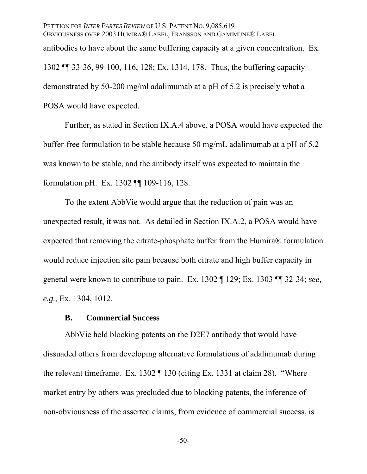PETITION FOR *INTER PARTES REVIEW* OF U.S. PATENT NO. 9,085,619 OBVIOUSNESS OVER 2003 HUMIRA® LABEL, FRANSSON AND GAMIMUNE® LABEL antibodies to have about the same buffering capacity at a given concentration. Ex. 1302 ¶¶ 33-36, 99-100, 116, 128; Ex. 1314, 178. Thus, the buffering capacity demonstrated by 50-200 mg/ml adalimumab at a pH of 5.2 is precisely what a POSA would have expected.

Further, as stated in Section IX.A.4 above, a POSA would have expected the buffer-free formulation to be stable because 50 mg/mL adalimumab at a pH of 5.2 was known to be stable, and the antibody itself was expected to maintain the formulation pH. Ex. 1302 ¶¶ 109-116, 128.

To the extent AbbVie would argue that the reduction of pain was an unexpected result, it was not. As detailed in Section IX.A.2, a POSA would have expected that removing the citrate-phosphate buffer from the Humira® formulation would reduce injection site pain because both citrate and high buffer capacity in general were known to contribute to pain. Ex. 1302 ¶ 129; Ex. 1303 ¶¶ 32-34; *see, e.g.*, Ex. 1304, 1012.

### **B. Commercial Success**

AbbVie held blocking patents on the D2E7 antibody that would have dissuaded others from developing alternative formulations of adalimumab during the relevant timeframe. Ex. 1302 ¶ 130 (citing Ex. 1331 at claim 28). "Where market entry by others was precluded due to blocking patents, the inference of non-obviousness of the asserted claims, from evidence of commercial success, is

-50-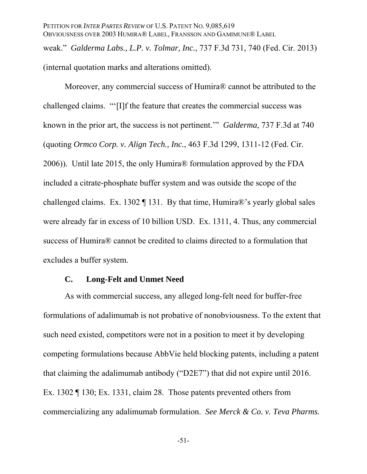PETITION FOR *INTER PARTES REVIEW* OF U.S. PATENT NO. 9,085,619 OBVIOUSNESS OVER 2003 HUMIRA® LABEL, FRANSSON AND GAMIMUNE® LABEL weak." *Galderma Labs., L.P. v. Tolmar, Inc.*, 737 F.3d 731, 740 (Fed. Cir. 2013) (internal quotation marks and alterations omitted).

Moreover, any commercial success of Humira® cannot be attributed to the challenged claims. "'[I]f the feature that creates the commercial success was known in the prior art, the success is not pertinent.'" *Galderma*, 737 F.3d at 740 (quoting *Ormco Corp. v. Align Tech., Inc.*, 463 F.3d 1299, 1311-12 (Fed. Cir. 2006))*.* Until late 2015, the only Humira® formulation approved by the FDA included a citrate-phosphate buffer system and was outside the scope of the challenged claims. Ex. 1302 ¶ 131. By that time, Humira®'s yearly global sales were already far in excess of 10 billion USD. Ex. 1311, 4. Thus, any commercial success of Humira® cannot be credited to claims directed to a formulation that excludes a buffer system.

### **C. Long-Felt and Unmet Need**

As with commercial success, any alleged long-felt need for buffer-free formulations of adalimumab is not probative of nonobviousness. To the extent that such need existed, competitors were not in a position to meet it by developing competing formulations because AbbVie held blocking patents, including a patent that claiming the adalimumab antibody ("D2E7") that did not expire until 2016. Ex. 1302 ¶ 130; Ex. 1331, claim 28. Those patents prevented others from commercializing any adalimumab formulation. *See Merck & Co. v. Teva Pharms.* 

-51-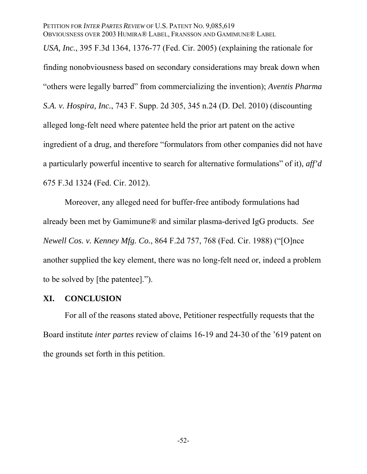*USA, Inc.*, 395 F.3d 1364, 1376-77 (Fed. Cir. 2005) (explaining the rationale for finding nonobviousness based on secondary considerations may break down when "others were legally barred" from commercializing the invention); *Aventis Pharma S.A. v. Hospira, Inc.*, 743 F. Supp. 2d 305, 345 n.24 (D. Del. 2010) (discounting alleged long-felt need where patentee held the prior art patent on the active ingredient of a drug, and therefore "formulators from other companies did not have a particularly powerful incentive to search for alternative formulations" of it), *aff'd*  675 F.3d 1324 (Fed. Cir. 2012).

Moreover, any alleged need for buffer-free antibody formulations had already been met by Gamimune® and similar plasma-derived IgG products. *See Newell Cos. v. Kenney Mfg. Co.*, 864 F.2d 757, 768 (Fed. Cir. 1988) ("[O]nce another supplied the key element, there was no long-felt need or, indeed a problem to be solved by [the patentee].").

#### **XI. CONCLUSION**

For all of the reasons stated above, Petitioner respectfully requests that the Board institute *inter partes* review of claims 16-19 and 24-30 of the '619 patent on the grounds set forth in this petition.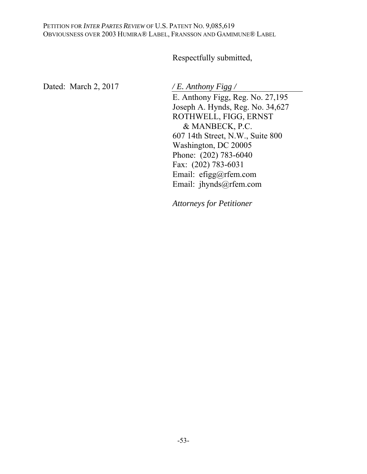# Respectfully submitted,

Dated: March 2, 2017 */ E. Anthony Figg /* 

E. Anthony Figg, Reg. No. 27,195 Joseph A. Hynds, Reg. No. 34,627 ROTHWELL, FIGG, ERNST & MANBECK, P.C. 607 14th Street, N.W., Suite 800 Washington, DC 20005 Phone: (202) 783-6040 Fax: (202) 783-6031 Email: efigg@rfem.com Email: jhynds@rfem.com

*Attorneys for Petitioner*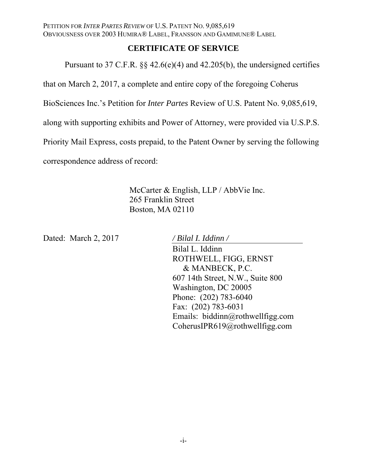## **CERTIFICATE OF SERVICE**

Pursuant to 37 C.F.R. §§ 42.6(e)(4) and 42.205(b), the undersigned certifies

that on March 2, 2017, a complete and entire copy of the foregoing Coherus

BioSciences Inc.'s Petition for *Inter Partes* Review of U.S. Patent No. 9,085,619,

along with supporting exhibits and Power of Attorney, were provided via U.S.P.S.

Priority Mail Express, costs prepaid, to the Patent Owner by serving the following

correspondence address of record:

McCarter & English, LLP / AbbVie Inc. 265 Franklin Street Boston, MA 02110

Dated: March 2, 2017 */ Bilal I. Iddinn /* 

Bilal L. Iddinn ROTHWELL, FIGG, ERNST & MANBECK, P.C. 607 14th Street, N.W., Suite 800 Washington, DC 20005 Phone: (202) 783-6040 Fax: (202) 783-6031 Emails: biddinn@rothwellfigg.com CoherusIPR619@rothwellfigg.com